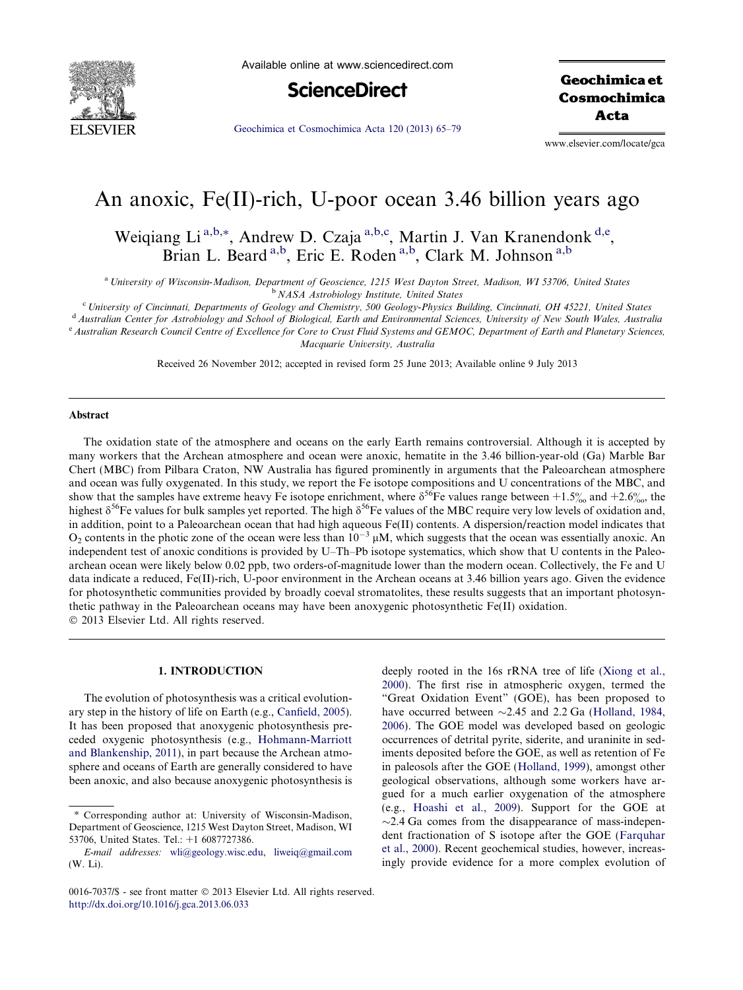

Available online at www.sciencedirect.com



**Geochimica et** Cosmochimica Acta

[Geochimica et Cosmochimica Acta 120 \(2013\) 65–79](http://dx.doi.org/10.1016/j.gca.2013.06.033)

www.elsevier.com/locate/gca

# An anoxic, Fe(II)-rich, U-poor ocean 3.46 billion years ago

Weiqiang Li<sup>a,b,\*</sup>, Andrew D. Czaja<sup>a,b,c</sup>, Martin J. Van Kranendonk<sup>d,e</sup>, Brian L. Beard<sup>a,b</sup>, Eric E. Roden<sup>a,b</sup>, Clark M. Johnson<sup>a,b</sup>

a University of Wisconsin-Madison, Department of Geoscience, 1215 West Dayton Street, Madison, WI 53706, United States <sup>b</sup> NASA Astrobiology Institute, United States

<sup>c</sup> University of Cincinnati, Departments of Geology and Chemistry, 500 Geology-Physics Building, Cincinnati, OH 45221, United States

<sup>d</sup> Australian Center for Astrobiology and School of Biological, Earth and Environmental Sciences, University of New South Wales, Australia

<sup>e</sup> Australian Research Council Centre of Excellence for Core to Crust Fluid Systems and GEMOC, Department of Earth and Planetary Sciences, Macquarie University, Australia

Received 26 November 2012; accepted in revised form 25 June 2013; Available online 9 July 2013

# Abstract

The oxidation state of the atmosphere and oceans on the early Earth remains controversial. Although it is accepted by many workers that the Archean atmosphere and ocean were anoxic, hematite in the 3.46 billion-year-old (Ga) Marble Bar Chert (MBC) from Pilbara Craton, NW Australia has figured prominently in arguments that the Paleoarchean atmosphere and ocean was fully oxygenated. In this study, we report the Fe isotope compositions and U concentrations of the MBC, and show that the samples have extreme heavy Fe isotope enrichment, where  $\delta^{56}$ Fe values range between  $+1.5\%$  and  $+2.6\%$ , the highest  $\delta^{56}$ Fe values for bulk samples yet reported. The high  $\delta^{56}$ Fe values of the MBC require very low levels of oxidation and, in addition, point to a Paleoarchean ocean that had high aqueous Fe(II) contents. A dispersion/reaction model indicates that  $O_2$  contents in the photic zone of the ocean were less than  $10^{-3}$   $\mu$ M, which suggests that the ocean was essentially anoxic. An independent test of anoxic conditions is provided by U–Th–Pb isotope systematics, which show that U contents in the Paleoarchean ocean were likely below 0.02 ppb, two orders-of-magnitude lower than the modern ocean. Collectively, the Fe and U data indicate a reduced, Fe(II)-rich, U-poor environment in the Archean oceans at 3.46 billion years ago. Given the evidence for photosynthetic communities provided by broadly coeval stromatolites, these results suggests that an important photosynthetic pathway in the Paleoarchean oceans may have been anoxygenic photosynthetic Fe(II) oxidation.  $©$  2013 Elsevier Ltd. All rights reserved.

## 1. INTRODUCTION

The evolution of photosynthesis was a critical evolutionary step in the history of life on Earth (e.g., [Canfield, 2005](#page-12-0)). It has been proposed that anoxygenic photosynthesis preceded oxygenic photosynthesis (e.g., [Hohmann-Marriott](#page-13-0) [and Blankenship, 2011](#page-13-0)), in part because the Archean atmosphere and oceans of Earth are generally considered to have been anoxic, and also because anoxygenic photosynthesis is

deeply rooted in the 16s rRNA tree of life ([Xiong et al.,](#page-14-0) [2000](#page-14-0)). The first rise in atmospheric oxygen, termed the "Great Oxidation Event" (GOE), has been proposed to have occurred between  $\sim$ 2.45 and 2.2 Ga ([Holland, 1984,](#page-13-0) [2006](#page-13-0)). The GOE model was developed based on geologic occurrences of detrital pyrite, siderite, and uraninite in sediments deposited before the GOE, as well as retention of Fe in paleosols after the GOE [\(Holland, 1999\)](#page-13-0), amongst other geological observations, although some workers have argued for a much earlier oxygenation of the atmosphere (e.g., [Hoashi et al., 2009](#page-13-0)). Support for the GOE at  $\sim$ 2.4 Ga comes from the disappearance of mass-independent fractionation of S isotope after the GOE ([Farquhar](#page-12-0) [et al., 2000](#page-12-0)). Recent geochemical studies, however, increasingly provide evidence for a more complex evolution of

<sup>⇑</sup> Corresponding author at: University of Wisconsin-Madison, Department of Geoscience, 1215 West Dayton Street, Madison, WI 53706, United States. Tel.: +1 6087727386.

E-mail addresses: [wli@geology.wisc.edu](mailto:wli@geology.wisc.edu), [liweiq@gmail.com](mailto:liweiq@gmail.com) (W. Li).

<sup>0016-7037/\$ -</sup> see front matter © 2013 Elsevier Ltd. All rights reserved. <http://dx.doi.org/10.1016/j.gca.2013.06.033>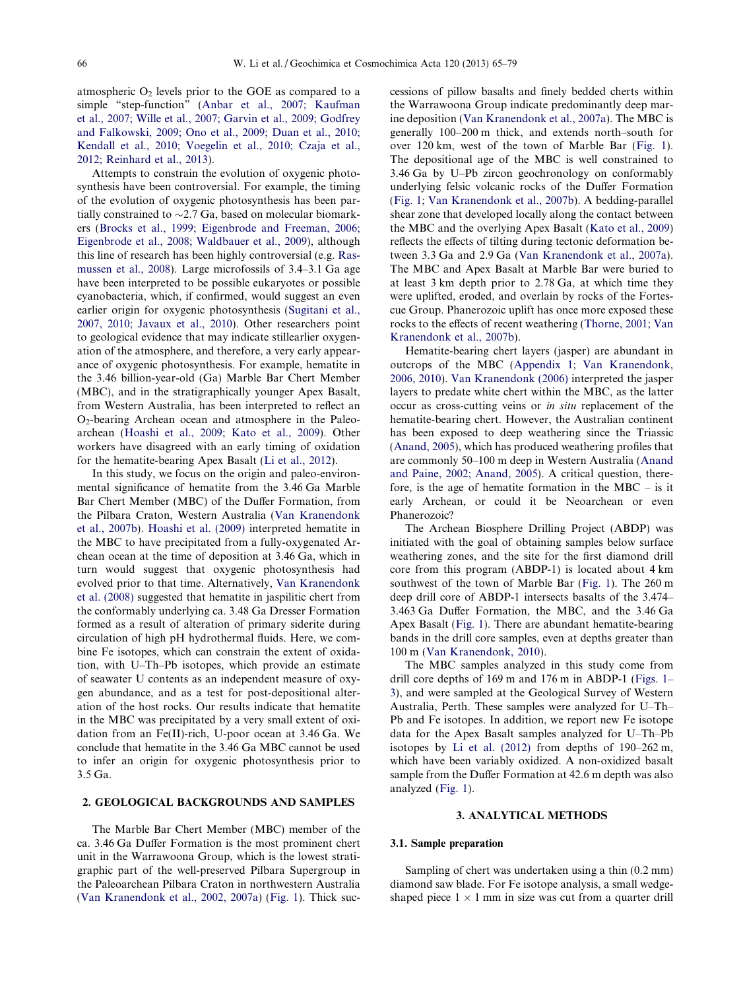atmospheric  $O_2$  levels prior to the GOE as compared to a simple "step-function" [\(Anbar et al., 2007; Kaufman](#page-12-0) [et al., 2007; Wille et al., 2007; Garvin et al., 2009; Godfrey](#page-12-0) [and Falkowski, 2009; Ono et al., 2009; Duan et al., 2010;](#page-12-0) [Kendall et al., 2010; Voegelin et al., 2010; Czaja et al.,](#page-12-0) [2012; Reinhard et al., 2013\)](#page-12-0).

Attempts to constrain the evolution of oxygenic photosynthesis have been controversial. For example, the timing of the evolution of oxygenic photosynthesis has been partially constrained to  $\sim$ 2.7 Ga, based on molecular biomarkers ([Brocks et al., 1999; Eigenbrode and Freeman, 2006;](#page-12-0) [Eigenbrode et al., 2008; Waldbauer et al., 2009](#page-12-0)), although this line of research has been highly controversial (e.g. [Ras](#page-13-0)[mussen et al., 2008\)](#page-13-0). Large microfossils of 3.4–3.1 Ga age have been interpreted to be possible eukaryotes or possible cyanobacteria, which, if confirmed, would suggest an even earlier origin for oxygenic photosynthesis [\(Sugitani et al.,](#page-13-0) [2007, 2010; Javaux et al., 2010](#page-13-0)). Other researchers point to geological evidence that may indicate stillearlier oxygenation of the atmosphere, and therefore, a very early appearance of oxygenic photosynthesis. For example, hematite in the 3.46 billion-year-old (Ga) Marble Bar Chert Member (MBC), and in the stratigraphically younger Apex Basalt, from Western Australia, has been interpreted to reflect an  $O<sub>2</sub>$ -bearing Archean ocean and atmosphere in the Paleoarchean ([Hoashi et al., 2009; Kato et al., 2009](#page-13-0)). Other workers have disagreed with an early timing of oxidation for the hematite-bearing Apex Basalt ([Li et al., 2012\)](#page-13-0).

In this study, we focus on the origin and paleo-environmental significance of hematite from the 3.46 Ga Marble Bar Chert Member (MBC) of the Duffer Formation, from the Pilbara Craton, Western Australia [\(Van Kranendonk](#page-14-0) [et al., 2007b](#page-14-0)). [Hoashi et al. \(2009\)](#page-13-0) interpreted hematite in the MBC to have precipitated from a fully-oxygenated Archean ocean at the time of deposition at 3.46 Ga, which in turn would suggest that oxygenic photosynthesis had evolved prior to that time. Alternatively, [Van Kranendonk](#page-14-0) [et al. \(2008\)](#page-14-0) suggested that hematite in jaspilitic chert from the conformably underlying ca. 3.48 Ga Dresser Formation formed as a result of alteration of primary siderite during circulation of high pH hydrothermal fluids. Here, we combine Fe isotopes, which can constrain the extent of oxidation, with U–Th–Pb isotopes, which provide an estimate of seawater U contents as an independent measure of oxygen abundance, and as a test for post-depositional alteration of the host rocks. Our results indicate that hematite in the MBC was precipitated by a very small extent of oxidation from an Fe(II)-rich, U-poor ocean at 3.46 Ga. We conclude that hematite in the 3.46 Ga MBC cannot be used to infer an origin for oxygenic photosynthesis prior to 3.5 Ga.

# 2. GEOLOGICAL BACKGROUNDS AND SAMPLES

The Marble Bar Chert Member (MBC) member of the ca. 3.46 Ga Duffer Formation is the most prominent chert unit in the Warrawoona Group, which is the lowest stratigraphic part of the well-preserved Pilbara Supergroup in the Paleoarchean Pilbara Craton in northwestern Australia ([Van Kranendonk et al., 2002, 2007a](#page-14-0)) [\(Fig. 1](#page-2-0)). Thick successions of pillow basalts and finely bedded cherts within the Warrawoona Group indicate predominantly deep marine deposition [\(Van Kranendonk et al., 2007a](#page-14-0)). The MBC is generally 100–200 m thick, and extends north–south for over 120 km, west of the town of Marble Bar [\(Fig. 1\)](#page-2-0). The depositional age of the MBC is well constrained to 3.46 Ga by U–Pb zircon geochronology on conformably underlying felsic volcanic rocks of the Duffer Formation ([Fig. 1](#page-2-0); [Van Kranendonk et al., 2007b](#page-14-0)). A bedding-parallel shear zone that developed locally along the contact between the MBC and the overlying Apex Basalt ([Kato et al., 2009\)](#page-13-0) reflects the effects of tilting during tectonic deformation between 3.3 Ga and 2.9 Ga [\(Van Kranendonk et al., 2007a\)](#page-14-0). The MBC and Apex Basalt at Marble Bar were buried to at least 3 km depth prior to 2.78 Ga, at which time they were uplifted, eroded, and overlain by rocks of the Fortescue Group. Phanerozoic uplift has once more exposed these rocks to the effects of recent weathering ([Thorne, 2001; Van](#page-13-0) [Kranendonk et al., 2007b](#page-13-0)).

Hematite-bearing chert layers (jasper) are abundant in outcrops of the MBC [\(Appendix 1;](#page-12-0) [Van Kranendonk,](#page-14-0) [2006, 2010\)](#page-14-0). [Van Kranendonk \(2006\)](#page-14-0) interpreted the jasper layers to predate white chert within the MBC, as the latter occur as cross-cutting veins or in situ replacement of the hematite-bearing chert. However, the Australian continent has been exposed to deep weathering since the Triassic ([Anand, 2005\)](#page-12-0), which has produced weathering profiles that are commonly 50–100 m deep in Western Australia ([Anand](#page-12-0) [and Paine, 2002; Anand, 2005](#page-12-0)). A critical question, therefore, is the age of hematite formation in the  $MBC -$  is it early Archean, or could it be Neoarchean or even Phanerozoic?

The Archean Biosphere Drilling Project (ABDP) was initiated with the goal of obtaining samples below surface weathering zones, and the site for the first diamond drill core from this program (ABDP-1) is located about 4 km southwest of the town of Marble Bar ([Fig. 1\)](#page-2-0). The 260 m deep drill core of ABDP-1 intersects basalts of the 3.474– 3.463 Ga Duffer Formation, the MBC, and the 3.46 Ga Apex Basalt [\(Fig. 1](#page-2-0)). There are abundant hematite-bearing bands in the drill core samples, even at depths greater than 100 m ([Van Kranendonk, 2010](#page-14-0)).

The MBC samples analyzed in this study come from drill core depths of 169 m and 176 m in ABDP-1 [\(Figs. 1–](#page-2-0) [3](#page-2-0)), and were sampled at the Geological Survey of Western Australia, Perth. These samples were analyzed for U–Th– Pb and Fe isotopes. In addition, we report new Fe isotope data for the Apex Basalt samples analyzed for U–Th–Pb isotopes by [Li et al. \(2012\)](#page-13-0) from depths of 190–262 m, which have been variably oxidized. A non-oxidized basalt sample from the Duffer Formation at 42.6 m depth was also analyzed [\(Fig. 1](#page-2-0)).

### 3. ANALYTICAL METHODS

#### 3.1. Sample preparation

Sampling of chert was undertaken using a thin (0.2 mm) diamond saw blade. For Fe isotope analysis, a small wedgeshaped piece  $1 \times 1$  mm in size was cut from a quarter drill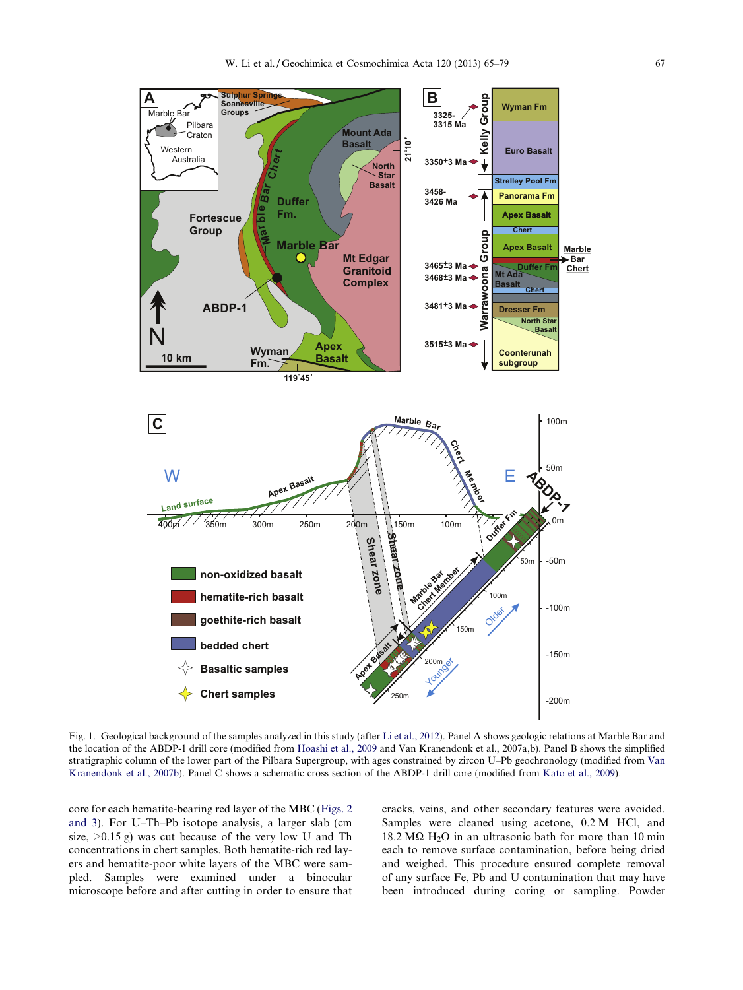<span id="page-2-0"></span>

Fig. 1. Geological background of the samples analyzed in this study (after [Li et al., 2012](#page-13-0)). Panel A shows geologic relations at Marble Bar and the location of the ABDP-1 drill core (modified from [Hoashi et al., 2009](#page-13-0) and Van Kranendonk et al., 2007a,b). Panel B shows the simplified stratigraphic column of the lower part of the Pilbara Supergroup, with ages constrained by zircon U–Pb geochronology (modified from [Van](#page-14-0) [Kranendonk et al., 2007b](#page-14-0)). Panel C shows a schematic cross section of the ABDP-1 drill core (modified from [Kato et al., 2009](#page-13-0)).

core for each hematite-bearing red layer of the MBC [\(Figs. 2](#page-3-0) [and 3\)](#page-3-0). For U–Th–Pb isotope analysis, a larger slab (cm size,  $>0.15$  g) was cut because of the very low U and Th concentrations in chert samples. Both hematite-rich red layers and hematite-poor white layers of the MBC were sampled. Samples were examined under a binocular microscope before and after cutting in order to ensure that

cracks, veins, and other secondary features were avoided. Samples were cleaned using acetone, 0.2 M HCl, and 18.2 M $\Omega$  H<sub>2</sub>O in an ultrasonic bath for more than 10 min each to remove surface contamination, before being dried and weighed. This procedure ensured complete removal of any surface Fe, Pb and U contamination that may have been introduced during coring or sampling. Powder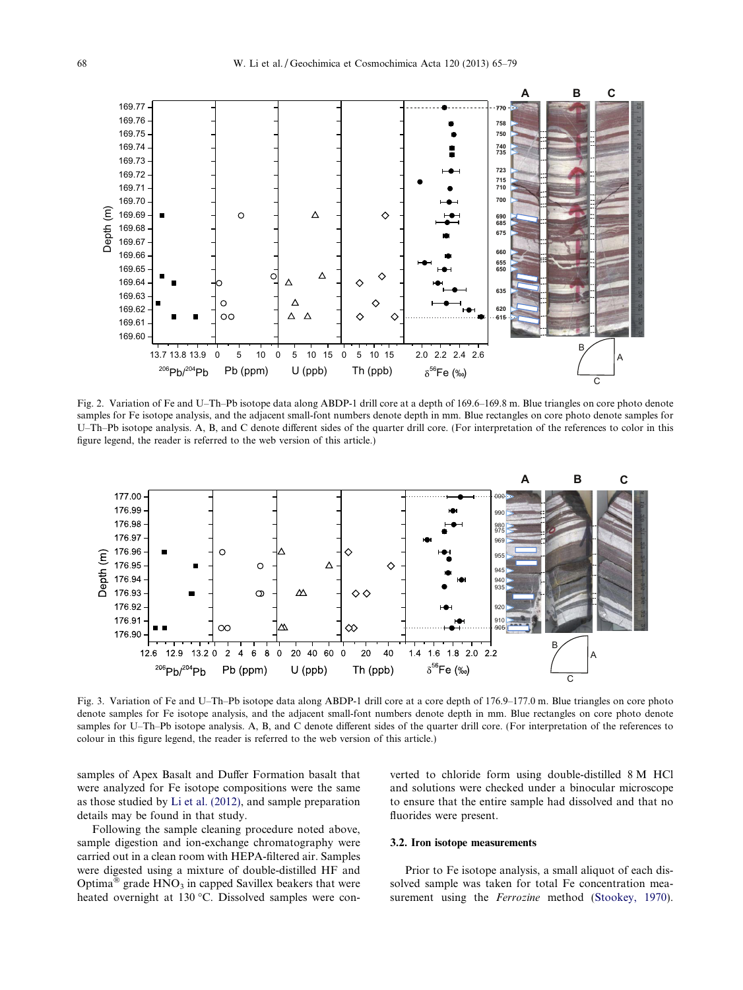<span id="page-3-0"></span>

Fig. 2. Variation of Fe and U–Th–Pb isotope data along ABDP-1 drill core at a depth of 169.6–169.8 m. Blue triangles on core photo denote samples for Fe isotope analysis, and the adjacent small-font numbers denote depth in mm. Blue rectangles on core photo denote samples for U–Th–Pb isotope analysis. A, B, and C denote different sides of the quarter drill core. (For interpretation of the references to color in this figure legend, the reader is referred to the web version of this article.)



Fig. 3. Variation of Fe and U–Th–Pb isotope data along ABDP-1 drill core at a core depth of 176.9–177.0 m. Blue triangles on core photo denote samples for Fe isotope analysis, and the adjacent small-font numbers denote depth in mm. Blue rectangles on core photo denote samples for U–Th–Pb isotope analysis. A, B, and C denote different sides of the quarter drill core. (For interpretation of the references to colour in this figure legend, the reader is referred to the web version of this article.)

samples of Apex Basalt and Duffer Formation basalt that were analyzed for Fe isotope compositions were the same as those studied by [Li et al. \(2012\)](#page-13-0), and sample preparation details may be found in that study.

Following the sample cleaning procedure noted above, sample digestion and ion-exchange chromatography were carried out in a clean room with HEPA-filtered air. Samples were digested using a mixture of double-distilled HF and Optima<sup>®</sup> grade  $HNO<sub>3</sub>$  in capped Savillex beakers that were heated overnight at 130 °C. Dissolved samples were converted to chloride form using double-distilled 8 M HCl and solutions were checked under a binocular microscope to ensure that the entire sample had dissolved and that no fluorides were present.

#### 3.2. Iron isotope measurements

Prior to Fe isotope analysis, a small aliquot of each dissolved sample was taken for total Fe concentration measurement using the *Ferrozine* method [\(Stookey, 1970\)](#page-13-0).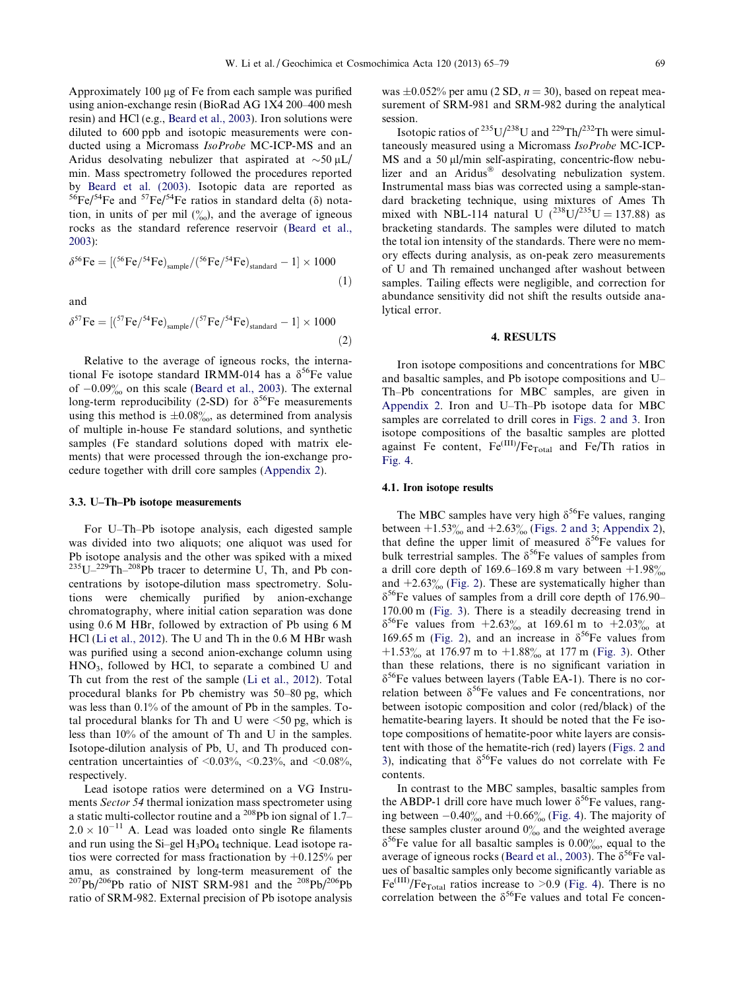Approximately 100 µg of Fe from each sample was purified using anion-exchange resin (BioRad AG 1X4 200–400 mesh resin) and HCl (e.g., [Beard et al., 2003](#page-12-0)). Iron solutions were diluted to 600 ppb and isotopic measurements were conducted using a Micromass IsoProbe MC-ICP-MS and an Aridus desolvating nebulizer that aspirated at  $\sim$ 50 µL/ min. Mass spectrometry followed the procedures reported by [Beard et al. \(2003\).](#page-12-0) Isotopic data are reported as  ${}^{56}Fe/{}^{54}Fe$  and  ${}^{57}Fe/{}^{54}Fe$  ratios in standard delta ( $\delta$ ) notation, in units of per mil  $\binom{0}{0}$ , and the average of igneous rocks as the standard reference reservoir ([Beard et al.,](#page-12-0) [2003](#page-12-0)):

$$
\delta^{56}\text{Fe} = \left[ \left( \frac{^{56}\text{Fe}}{\right)^{54}\text{Fe}} \right)_{\text{sample}} / \left( \frac{^{56}\text{Fe}}{\right)^{54}\text{Fe}} \right)_{\text{standard}} - 1 \right] \times 1000
$$
\n(1)

and

$$
\delta^{57} \text{Fe} = \left[ \left( ^{57} \text{Fe} \right) ^{54} \text{Fe} \right)_{\text{sample}} / \left( ^{57} \text{Fe} \right) ^{54} \text{Fe} \right)_{\text{standard}} - 1 \right] \times 1000 \tag{2}
$$

Relative to the average of igneous rocks, the international Fe isotope standard IRMM-014 has a  $\delta^{56}$ Fe value of  $-0.09%$  on this scale ([Beard et al., 2003](#page-12-0)). The external long-term reproducibility (2-SD) for  $\delta^{56}$ Fe measurements using this method is  $\pm 0.08\%$ , as determined from analysis of multiple in-house Fe standard solutions, and synthetic samples (Fe standard solutions doped with matrix elements) that were processed through the ion-exchange procedure together with drill core samples ([Appendix 2\)](#page-12-0).

#### 3.3. U–Th–Pb isotope measurements

For U–Th–Pb isotope analysis, each digested sample was divided into two aliquots; one aliquot was used for Pb isotope analysis and the other was spiked with a mixed  $^{235}U-^{229}Th-^{208}Pb$  tracer to determine U, Th, and Pb concentrations by isotope-dilution mass spectrometry. Solutions were chemically purified by anion-exchange chromatography, where initial cation separation was done using 0.6 M HBr, followed by extraction of Pb using 6 M HCl ([Li et al., 2012](#page-13-0)). The U and Th in the 0.6 M HBr wash was purified using a second anion-exchange column using HNO3, followed by HCl, to separate a combined U and Th cut from the rest of the sample [\(Li et al., 2012\)](#page-13-0). Total procedural blanks for Pb chemistry was 50–80 pg, which was less than 0.1% of the amount of Pb in the samples. Total procedural blanks for Th and U were  $\leq 50$  pg, which is less than 10% of the amount of Th and U in the samples. Isotope-dilution analysis of Pb, U, and Th produced concentration uncertainties of  $\leq 0.03\%$ ,  $\leq 0.23\%$ , and  $\leq 0.08\%$ , respectively.

Lead isotope ratios were determined on a VG Instruments Sector 54 thermal ionization mass spectrometer using a static multi-collector routine and a  $^{208}Pb$  ion signal of 1.7–  $2.0 \times 10^{-11}$  A. Lead was loaded onto single Re filaments and run using the  $Si-gel H_3PO_4$  technique. Lead isotope ratios were corrected for mass fractionation by +0.125% per amu, as constrained by long-term measurement of the  $^{207}Pb/^{206}Pb$  ratio of NIST SRM-981 and the  $^{208}Pb/^{206}Pb$ ratio of SRM-982. External precision of Pb isotope analysis

was  $\pm 0.052\%$  per amu (2 SD,  $n = 30$ ), based on repeat measurement of SRM-981 and SRM-982 during the analytical session.

Isotopic ratios of  $^{235}$ U/ $^{238}$ U and  $^{229}$ Th/ $^{232}$ Th were simultaneously measured using a Micromass IsoProbe MC-ICP-MS and a 50 µl/min self-aspirating, concentric-flow nebulizer and an Aridus $^{\circledR}$  desolvating nebulization system. Instrumental mass bias was corrected using a sample-standard bracketing technique, using mixtures of Ames Th mixed with NBL-114 natural U  $(^{238}U/^{235}U = 137.88)$  as bracketing standards. The samples were diluted to match the total ion intensity of the standards. There were no memory effects during analysis, as on-peak zero measurements of U and Th remained unchanged after washout between samples. Tailing effects were negligible, and correction for abundance sensitivity did not shift the results outside analytical error.

# 4. RESULTS

Iron isotope compositions and concentrations for MBC and basaltic samples, and Pb isotope compositions and U– Th–Pb concentrations for MBC samples, are given in [Appendix 2.](#page-12-0) Iron and U–Th–Pb isotope data for MBC samples are correlated to drill cores in [Figs. 2 and 3](#page-3-0). Iron isotope compositions of the basaltic samples are plotted against Fe content,  $Fe^{(III)}/Fe_{\text{Total}}$  and Fe/Th ratios in [Fig. 4](#page-5-0).

#### 4.1. Iron isotope results

The MBC samples have very high  $\delta^{56}$ Fe values, ranging between  $+1.53\%$  and  $+2.63\%$  [\(Figs. 2 and 3](#page-3-0); [Appendix 2](#page-12-0)), that define the upper limit of measured  $\delta^{56}$ Fe values for bulk terrestrial samples. The  $\delta^{56}$ Fe values of samples from a drill core depth of 169.6–169.8 m vary between  $+1.98\%$ and  $+2.63\%$  [\(Fig. 2](#page-3-0)). These are systematically higher than  $\delta^{56}$ Fe values of samples from a drill core depth of 176.90– 170.00 m ([Fig. 3](#page-3-0)). There is a steadily decreasing trend in  $\delta^{56}$ Fe values from  $+2.63\%$  at 169.61 m to  $+2.03\%$  at 169.65 m [\(Fig. 2](#page-3-0)), and an increase in  $\delta^{56}$ Fe values from +1.53% at 176.97 m to +1.88% at 177 m ([Fig. 3](#page-3-0)). Other than these relations, there is no significant variation in  $\delta^{56}$ Fe values between layers (Table EA-1). There is no correlation between  $\delta^{56}$ Fe values and Fe concentrations, nor between isotopic composition and color (red/black) of the hematite-bearing layers. It should be noted that the Fe isotope compositions of hematite-poor white layers are consistent with those of the hematite-rich (red) layers [\(Figs. 2 and](#page-3-0) [3\)](#page-3-0), indicating that  $\delta^{56}$ Fe values do not correlate with Fe contents.

In contrast to the MBC samples, basaltic samples from the ABDP-1 drill core have much lower  $\delta^{56}$ Fe values, ranging between  $-0.40\%$  and  $+0.66\%$  ([Fig. 4](#page-5-0)). The majority of these samples cluster around  $0\%$  and the weighted average  $\delta^{56}$ Fe value for all basaltic samples is 0.00%, equal to the average of igneous rocks [\(Beard et al., 2003](#page-12-0)). The  $\delta^{56}$ Fe values of basaltic samples only become significantly variable as  $Fe^{(III)}/Fe_{\text{Total}}$  ratios increase to >0.9 ([Fig. 4](#page-5-0)). There is no correlation between the  $\delta^{56}$ Fe values and total Fe concen-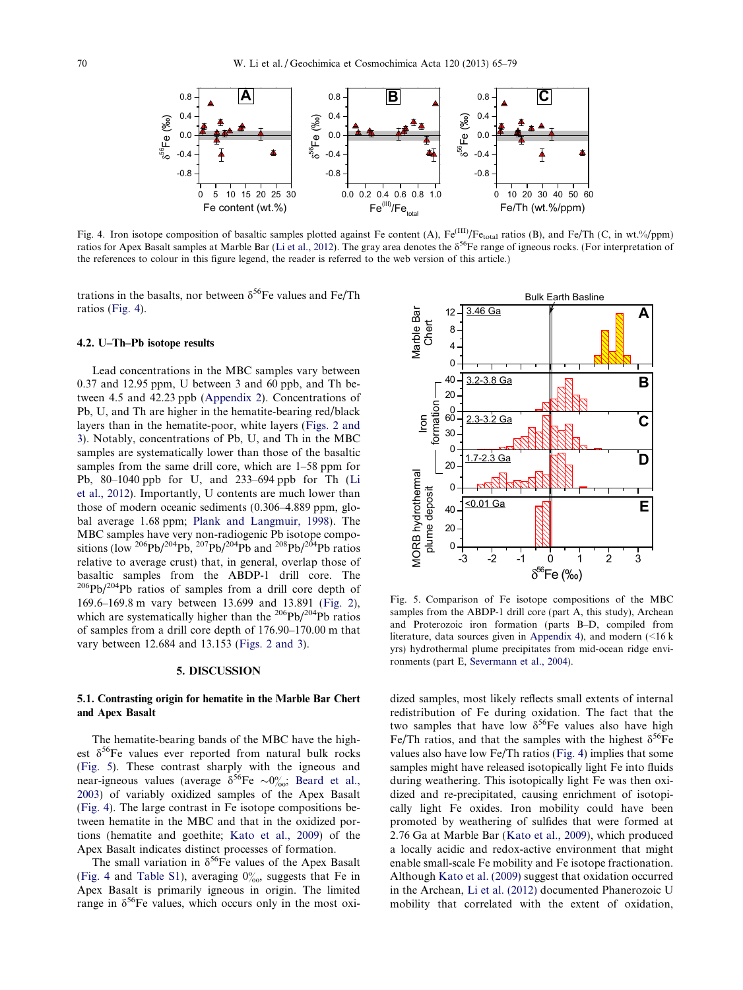<span id="page-5-0"></span>

Fig. 4. Iron isotope composition of basaltic samples plotted against Fe content (A), Fe<sup>(III)</sup>/Fe<sub>total</sub> ratios (B), and Fe/Th (C, in wt.%/ppm) ratios for Apex Basalt samples at Marble Bar ([Li et al., 2012](#page-13-0)). The gray area denotes the  $\delta^{56}$ Fe range of igneous rocks. (For interpretation of the references to colour in this figure legend, the reader is referred to the web version of this article.)

trations in the basalts, nor between  $\delta^{56}$ Fe values and Fe/Th ratios (Fig. 4).

### 4.2. U–Th–Pb isotope results

Lead concentrations in the MBC samples vary between 0.37 and 12.95 ppm, U between 3 and 60 ppb, and Th between 4.5 and 42.23 ppb [\(Appendix 2\)](#page-12-0). Concentrations of Pb, U, and Th are higher in the hematite-bearing red/black layers than in the hematite-poor, white layers [\(Figs. 2 and](#page-3-0) [3](#page-3-0)). Notably, concentrations of Pb, U, and Th in the MBC samples are systematically lower than those of the basaltic samples from the same drill core, which are 1–58 ppm for Pb, 80–1040 ppb for U, and 233–694 ppb for Th ([Li](#page-13-0) [et al., 2012\)](#page-13-0). Importantly, U contents are much lower than those of modern oceanic sediments (0.306–4.889 ppm, global average 1.68 ppm; [Plank and Langmuir, 1998\)](#page-13-0). The MBC samples have very non-radiogenic Pb isotope compositions (low  $^{206}Pb/^{204}Pb$ ,  $^{207}Pb/^{204}Pb$  and  $^{208}Pb/^{204}Pb$  ratios relative to average crust) that, in general, overlap those of basaltic samples from the ABDP-1 drill core. The 206Pb/204Pb ratios of samples from a drill core depth of 169.6–169.8 m vary between 13.699 and 13.891 [\(Fig. 2\)](#page-3-0), which are systematically higher than the  $^{206}Pb/^{204}Pb$  ratios of samples from a drill core depth of 176.90–170.00 m that vary between 12.684 and 13.153 ([Figs. 2 and 3\)](#page-3-0).

## 5. DISCUSSION

# 5.1. Contrasting origin for hematite in the Marble Bar Chert and Apex Basalt

The hematite-bearing bands of the MBC have the highest  $\delta^{56}$ Fe values ever reported from natural bulk rocks (Fig. 5). These contrast sharply with the igneous and near-igneous values (average  $\delta^{56}$ Fe  $\sim 0\%$ ; [Beard et al.,](#page-12-0) [2003\)](#page-12-0) of variably oxidized samples of the Apex Basalt (Fig. 4). The large contrast in Fe isotope compositions between hematite in the MBC and that in the oxidized portions (hematite and goethite; [Kato et al., 2009\)](#page-13-0) of the Apex Basalt indicates distinct processes of formation.

The small variation in  $\delta^{56}$ Fe values of the Apex Basalt (Fig. 4 and [Table S1\)](#page-12-0), averaging  $0\%$ , suggests that Fe in Apex Basalt is primarily igneous in origin. The limited range in  $\delta^{56}$ Fe values, which occurs only in the most oxi-



Fig. 5. Comparison of Fe isotope compositions of the MBC samples from the ABDP-1 drill core (part A, this study), Archean and Proterozoic iron formation (parts B–D, compiled from literature, data sources given in [Appendix 4](#page-12-0)), and modern  $\leq 16$  k yrs) hydrothermal plume precipitates from mid-ocean ridge environments (part E, [Severmann et al., 2004](#page-13-0)).

dized samples, most likely reflects small extents of internal redistribution of Fe during oxidation. The fact that the two samples that have low  $\delta^{56}$ Fe values also have high Fe/Th ratios, and that the samples with the highest  $\delta^{56}$ Fe values also have low Fe/Th ratios (Fig. 4) implies that some samples might have released isotopically light Fe into fluids during weathering. This isotopically light Fe was then oxidized and re-precipitated, causing enrichment of isotopically light Fe oxides. Iron mobility could have been promoted by weathering of sulfides that were formed at 2.76 Ga at Marble Bar [\(Kato et al., 2009](#page-13-0)), which produced a locally acidic and redox-active environment that might enable small-scale Fe mobility and Fe isotope fractionation. Although [Kato et al. \(2009\)](#page-13-0) suggest that oxidation occurred in the Archean, [Li et al. \(2012\)](#page-13-0) documented Phanerozoic U mobility that correlated with the extent of oxidation,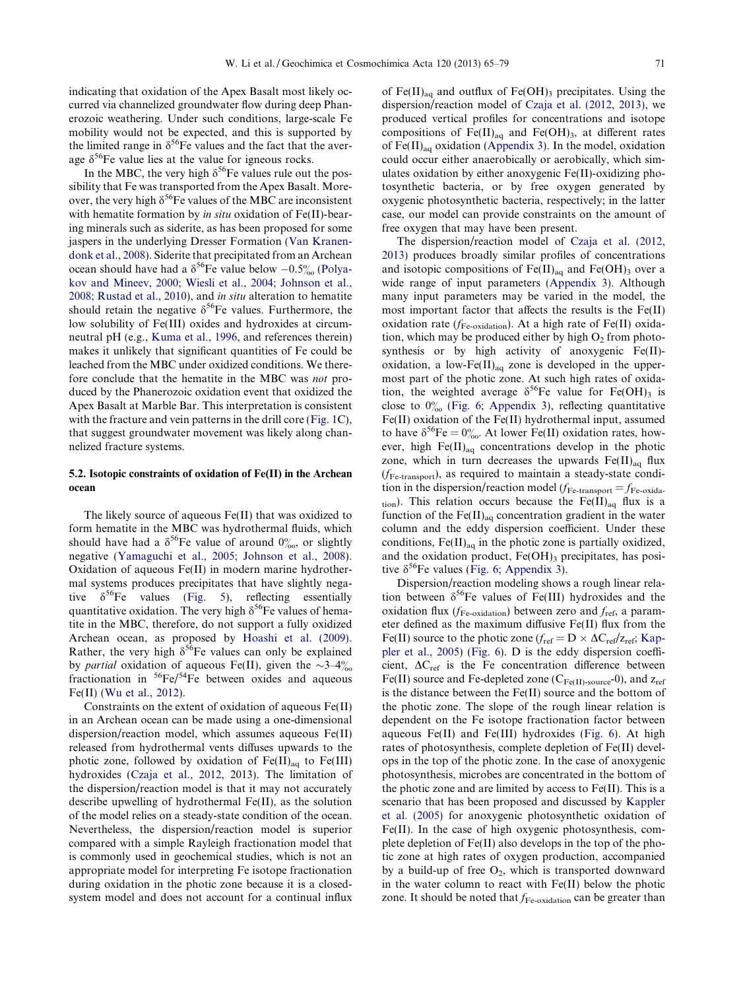<span id="page-6-0"></span>indicating that oxidation of the Apex Basalt most likely occurred via channelized groundwater flow during deep Phanerozoic weathering. Under such conditions, large-scale Fe mobility would not be expected, and this is supported by the limited range in  $\delta^{56}$ Fe values and the fact that the average  $\delta^{56}$ Fe value lies at the value for igneous rocks.

In the MBC, the very high  $\delta^{56}$ Fe values rule out the possibility that Fe was transported from the Apex Basalt. Moreover, the very high  $\delta^{56}$ Fe values of the MBC are inconsistent with hematite formation by *in situ* oxidation of Fe(II)-bearing minerals such as siderite, as has been proposed for some jaspers in the underlying Dresser Formation ([Van Kranen](#page-14-0)[donk et al., 2008\)](#page-14-0). Siderite that precipitated from an Archean ocean should have had a  $\delta^{56}$ Fe value below  $-0.5\%$  ([Polya](#page-13-0)[kov and Mineev, 2000; Wiesli et al., 2004; Johnson et al.,](#page-13-0) [2008; Rustad et al., 2010\)](#page-13-0), and in situ alteration to hematite should retain the negative  $\delta^{56}$ Fe values. Furthermore, the low solubility of Fe(III) oxides and hydroxides at circumneutral pH (e.g., [Kuma et al., 1996](#page-13-0), and references therein) makes it unlikely that significant quantities of Fe could be leached from the MBC under oxidized conditions. We therefore conclude that the hematite in the MBC was not produced by the Phanerozoic oxidation event that oxidized the Apex Basalt at Marble Bar. This interpretation is consistent with the fracture and vein patterns in the drill core ([Fig. 1C](#page-2-0)), that suggest groundwater movement was likely along channelized fracture systems.

# 5.2. Isotopic constraints of oxidation of Fe(II) in the Archean ocean

The likely source of aqueous Fe(II) that was oxidized to form hematite in the MBC was hydrothermal fluids, which should have had a  $\delta^{56}$ Fe value of around  $0\%$ , or slightly negative [\(Yamaguchi et al., 2005; Johnson et al., 2008](#page-14-0)). Oxidation of aqueous Fe(II) in modern marine hydrothermal systems produces precipitates that have slightly negative  $\delta^{56}$ Fe values [\(Fig. 5\)](#page-5-0), reflecting essentially quantitative oxidation. The very high  $\delta^{56}$ Fe values of hematite in the MBC, therefore, do not support a fully oxidized Archean ocean, as proposed by [Hoashi et al. \(2009\)](#page-13-0). Rather, the very high  $\delta^{56}$ Fe values can only be explained by *partial* oxidation of aqueous Fe(II), given the  $\sim 3-4\%$ fractionation in  ${}^{56}Fe/{}^{54}Fe$  between oxides and aqueous Fe(II) [\(Wu et al., 2012](#page-14-0)).

Constraints on the extent of oxidation of aqueous Fe(II) in an Archean ocean can be made using a one-dimensional dispersion/reaction model, which assumes aqueous Fe(II) released from hydrothermal vents diffuses upwards to the photic zone, followed by oxidation of  $Fe(III)_{aa}$  to  $Fe(III)$ hydroxides ([Czaja et al., 2012,](#page-12-0) 2013). The limitation of the dispersion/reaction model is that it may not accurately describe upwelling of hydrothermal Fe(II), as the solution of the model relies on a steady-state condition of the ocean. Nevertheless, the dispersion/reaction model is superior compared with a simple Rayleigh fractionation model that is commonly used in geochemical studies, which is not an appropriate model for interpreting Fe isotope fractionation during oxidation in the photic zone because it is a closedsystem model and does not account for a continual influx

of  $Fe(II)_{aq}$  and outflux of  $Fe(OH)_3$  precipitates. Using the dispersion/reaction model of [Czaja et al. \(2012, 2013\)](#page-12-0), we produced vertical profiles for concentrations and isotope compositions of  $Fe(II)_{aq}$  and  $Fe(OH)_{3}$ , at different rates of  $Fe(II)_{aq}$  oxidation ([Appendix 3](#page-12-0)). In the model, oxidation could occur either anaerobically or aerobically, which simulates oxidation by either anoxygenic Fe(II)-oxidizing photosynthetic bacteria, or by free oxygen generated by oxygenic photosynthetic bacteria, respectively; in the latter case, our model can provide constraints on the amount of free oxygen that may have been present.

The dispersion/reaction model of [Czaja et al. \(2012,](#page-12-0) [2013\)](#page-12-0) produces broadly similar profiles of concentrations and isotopic compositions of  $Fe(II)_{aq}$  and  $Fe(OH)_{3}$  over a wide range of input parameters ([Appendix 3](#page-12-0)). Although many input parameters may be varied in the model, the most important factor that affects the results is the Fe(II) oxidation rate ( $f_{\text{Fe-oxidation}}$ ). At a high rate of Fe(II) oxidation, which may be produced either by high  $O<sub>2</sub>$  from photosynthesis or by high activity of anoxygenic Fe(II) oxidation, a low-Fe $(II)_{aq}$  zone is developed in the uppermost part of the photic zone. At such high rates of oxidation, the weighted average  $\delta^{56}$ Fe value for Fe(OH)<sub>3</sub> is close to  $0\%$  ([Fig. 6;](#page-7-0) [Appendix 3\)](#page-12-0), reflecting quantitative Fe(II) oxidation of the Fe(II) hydrothermal input, assumed to have  $\delta^{56}$ Fe =  $0\%$ . At lower Fe(II) oxidation rates, however, high Fe(II)<sub>aq</sub> concentrations develop in the photic zone, which in turn decreases the upwards  $Fe(II)_{aa}$  flux  $(f_{\text{Fe-transport}})$ , as required to maintain a steady-state condition in the dispersion/reaction model ( $f_{\rm Fe\text{-}transport} = f_{\rm Fe\text{-}oxida}$ tion). This relation occurs because the Fe(II)<sub>aq</sub> flux is a function of the  $Fe(II)_{aq}$  concentration gradient in the water column and the eddy dispersion coefficient. Under these conditions,  $Fe(II)_{aq}$  in the photic zone is partially oxidized, and the oxidation product,  $Fe(OH)_3$  precipitates, has positive  $\delta^{56}$ Fe values ([Fig. 6;](#page-7-0) [Appendix 3](#page-12-0)).

Dispersion/reaction modeling shows a rough linear relation between  $\delta^{56}$ Fe values of Fe(III) hydroxides and the oxidation flux ( $f_{\text{Fe-oxidation}}$ ) between zero and  $f_{\text{ref}}$ , a parameter defined as the maximum diffusive Fe(II) flux from the Fe(II) source to the photic zone ( $f_{ref} = D \times \Delta C_{ref}/Z_{ref}$ ; [Kap](#page-13-0)[pler et al., 2005](#page-13-0)) ([Fig. 6](#page-7-0)). D is the eddy dispersion coefficient,  $\Delta C_{ref}$  is the Fe concentration difference between Fe(II) source and Fe-depleted zone ( $C_{Fe(II) \text{-}source}$ -0), and  $z_{ref}$ is the distance between the Fe(II) source and the bottom of the photic zone. The slope of the rough linear relation is dependent on the Fe isotope fractionation factor between aqueous Fe(II) and Fe(III) hydroxides [\(Fig. 6\)](#page-7-0). At high rates of photosynthesis, complete depletion of Fe(II) develops in the top of the photic zone. In the case of anoxygenic photosynthesis, microbes are concentrated in the bottom of the photic zone and are limited by access to Fe(II). This is a scenario that has been proposed and discussed by [Kappler](#page-13-0) [et al. \(2005\)](#page-13-0) for anoxygenic photosynthetic oxidation of Fe(II). In the case of high oxygenic photosynthesis, complete depletion of Fe(II) also develops in the top of the photic zone at high rates of oxygen production, accompanied by a build-up of free  $O_2$ , which is transported downward in the water column to react with Fe(II) below the photic zone. It should be noted that  $f_{\text{Fe-oxidation}}$  can be greater than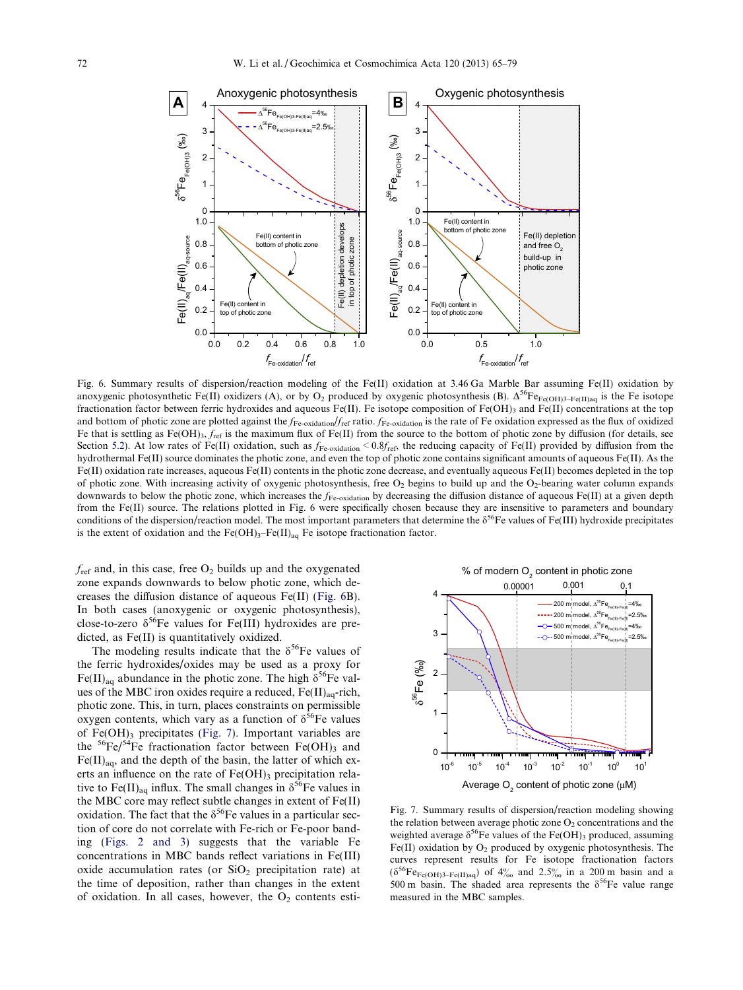<span id="page-7-0"></span>

Fig. 6. Summary results of dispersion/reaction modeling of the Fe(II) oxidation at 3.46 Ga Marble Bar assuming Fe(II) oxidation by anoxygenic photosynthetic Fe(II) oxidizers (A), or by O<sub>2</sub> produced by oxygenic photosynthesis (B).  $\Delta^{56}F_{\text{Fe}(\text{OH})3-Fe(H)aa}$  is the Fe isotope fractionation factor between ferric hydroxides and aqueous Fe(II). Fe isotope composition of Fe(OH)<sub>3</sub> and Fe(II) concentrations at the top and bottom of photic zone are plotted against the  $f_{\text{Fe-oxidation}}/f_{\text{ref}}$  ratio.  $f_{\text{Fe-oxidation}}$  is the rate of Fe oxidation expressed as the flux of oxidized Fe that is settling as Fe(OH)<sub>3</sub>,  $f_{\text{ref}}$  is the maximum flux of Fe(II) from the source to the bottom of photic zone by diffusion (for details, see Section [5.2\)](#page-6-0). At low rates of Fe(II) oxidation, such as  $f_{\text{Fe-oxidation}} < 0.8f_{\text{ref}}$ , the reducing capacity of Fe(II) provided by diffusion from the hydrothermal Fe(II) source dominates the photic zone, and even the top of photic zone contains significant amounts of aqueous Fe(II). As the Fe(II) oxidation rate increases, aqueous Fe(II) contents in the photic zone decrease, and eventually aqueous Fe(II) becomes depleted in the top of photic zone. With increasing activity of oxygenic photosynthesis, free  $O_2$  begins to build up and the  $O_2$ -bearing water column expands downwards to below the photic zone, which increases the  $f_{\text{Fe-oxidation}}$  by decreasing the diffusion distance of aqueous Fe(II) at a given depth from the Fe(II) source. The relations plotted in Fig. 6 were specifically chosen because they are insensitive to parameters and boundary conditions of the dispersion/reaction model. The most important parameters that determine the  $\delta^{56}$ Fe values of Fe(III) hydroxide precipitates is the extent of oxidation and the  $Fe(OH)_{3}-Fe(II)_{aq}$  Fe isotope fractionation factor.

 $f_{\text{ref}}$  and, in this case, free  $O_2$  builds up and the oxygenated zone expands downwards to below photic zone, which decreases the diffusion distance of aqueous Fe(II) (Fig. 6B). In both cases (anoxygenic or oxygenic photosynthesis), close-to-zero  $\delta^{56}$ Fe values for Fe(III) hydroxides are predicted, as Fe(II) is quantitatively oxidized.

The modeling results indicate that the  $\delta^{56}$ Fe values of the ferric hydroxides/oxides may be used as a proxy for Fe(II)<sub>aq</sub> abundance in the photic zone. The high  $\delta^{56}$ Fe values of the MBC iron oxides require a reduced,  $Fe(II)_{aa}$ -rich, photic zone. This, in turn, places constraints on permissible oxygen contents, which vary as a function of  $\delta^{56}$ Fe values of  $Fe(OH)$ <sub>3</sub> precipitates (Fig. 7). Important variables are the  ${}^{56}Fe/{}^{54}Fe$  fractionation factor between Fe(OH)<sub>3</sub> and  $Fe(II)_{aa}$ , and the depth of the basin, the latter of which exerts an influence on the rate of  $Fe(OH)$ <sub>3</sub> precipitation relative to Fe(II)<sub>aq</sub> influx. The small changes in  $\delta^{56}$ Fe values in the MBC core may reflect subtle changes in extent of Fe(II) oxidation. The fact that the  $\delta^{56}$ Fe values in a particular section of core do not correlate with Fe-rich or Fe-poor banding [\(Figs. 2 and 3](#page-3-0)) suggests that the variable Fe concentrations in MBC bands reflect variations in Fe(III) oxide accumulation rates (or  $SiO<sub>2</sub>$  precipitation rate) at the time of deposition, rather than changes in the extent of oxidation. In all cases, however, the  $O<sub>2</sub>$  contents esti-



Fig. 7. Summary results of dispersion/reaction modeling showing the relation between average photic zone  $O_2$  concentrations and the weighted average  $\delta^{56}$ Fe values of the Fe(OH)3 produced, assuming Fe(II) oxidation by  $O_2$  produced by oxygenic photosynthesis. The curves represent results for Fe isotope fractionation factors  $(\delta^{56}Fe_{Fe(OH)3-Fe(II)aq})$  of  $4\%$  and 2.5‰ in a 200 m basin and a 500 m basin. The shaded area represents the  $\delta^{56}$ Fe value range measured in the MBC samples.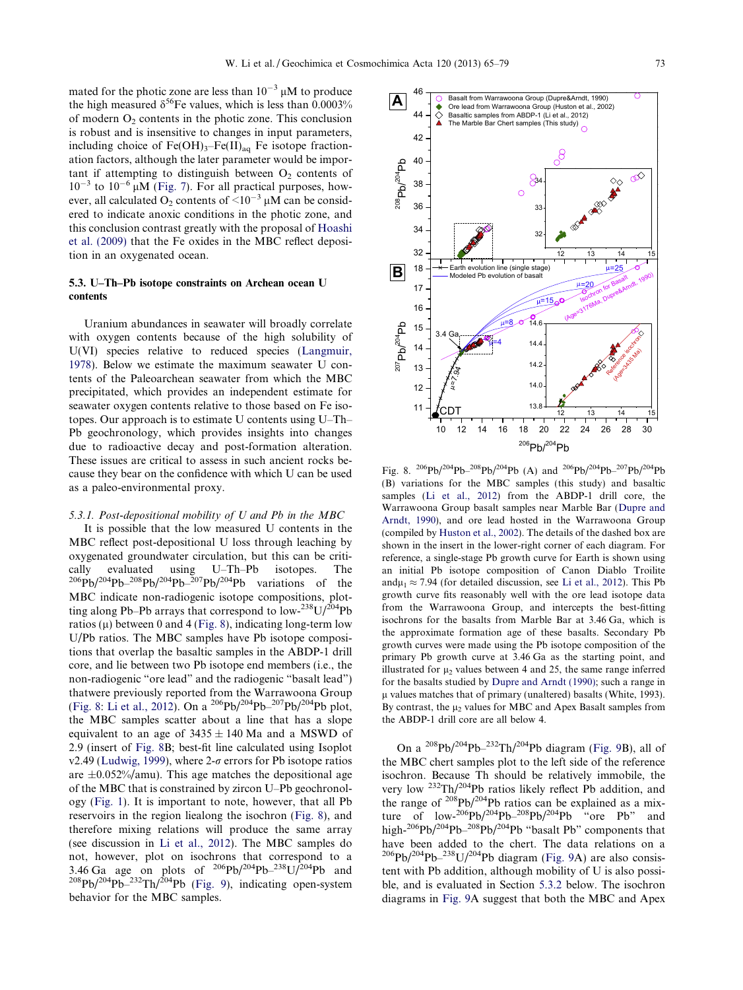<span id="page-8-0"></span>mated for the photic zone are less than  $10^{-3} \mu M$  to produce the high measured  $\delta^{56}$ Fe values, which is less than 0.0003% of modern  $O<sub>2</sub>$  contents in the photic zone. This conclusion is robust and is insensitive to changes in input parameters, including choice of  $Fe(OH)_{3}$ – $Fe(II)_{aq}$  Fe isotope fractionation factors, although the later parameter would be important if attempting to distinguish between  $O<sub>2</sub>$  contents of  $10^{-3}$  to  $10^{-6}$   $\mu$ M [\(Fig. 7](#page-7-0)). For all practical purposes, however, all calculated O<sub>2</sub> contents of  $\leq 10^{-3}$  µM can be considered to indicate anoxic conditions in the photic zone, and this conclusion contrast greatly with the proposal of [Hoashi](#page-13-0) [et al. \(2009\)](#page-13-0) that the Fe oxides in the MBC reflect deposition in an oxygenated ocean.

# 5.3. U–Th–Pb isotope constraints on Archean ocean U contents

Uranium abundances in seawater will broadly correlate with oxygen contents because of the high solubility of U(VI) species relative to reduced species ([Langmuir,](#page-13-0) [1978](#page-13-0)). Below we estimate the maximum seawater U contents of the Paleoarchean seawater from which the MBC precipitated, which provides an independent estimate for seawater oxygen contents relative to those based on Fe isotopes. Our approach is to estimate U contents using U–Th– Pb geochronology, which provides insights into changes due to radioactive decay and post-formation alteration. These issues are critical to assess in such ancient rocks because they bear on the confidence with which U can be used as a paleo-environmental proxy.

## 5.3.1. Post-depositional mobility of U and Pb in the MBC

It is possible that the low measured U contents in the MBC reflect post-depositional U loss through leaching by oxygenated groundwater circulation, but this can be critically evaluated using U–Th–Pb isotopes. The  $^{206}Pb/^{204}Pb-^{208}Pb/^{204}Pb-^{207}Pb/^{204}Pb$  variations of the MBC indicate non-radiogenic isotope compositions, plotting along Pb–Pb arrays that correspond to  $\frac{1}{2}$  low- $\frac{238}{10}$ U/ $\frac{204}{10}$ Pb ratios ( $\mu$ ) between 0 and 4 (Fig. 8), indicating long-term low U/Pb ratios. The MBC samples have Pb isotope compositions that overlap the basaltic samples in the ABDP-1 drill core, and lie between two Pb isotope end members (i.e., the non-radiogenic "ore lead" and the radiogenic "basalt lead") thatwere previously reported from the Warrawoona Group (Fig. 8: [Li et al., 2012](#page-13-0)). On a  $^{206}Pb/^{204}Pb-^{207}Pb/^{204}Pb$  plot, the MBC samples scatter about a line that has a slope equivalent to an age of  $3435 \pm 140$  Ma and a MSWD of 2.9 (insert of Fig. 8B; best-fit line calculated using Isoplot v2.49 ([Ludwig, 1999\)](#page-13-0), where 2- $\sigma$  errors for Pb isotope ratios are  $\pm 0.052\%$ /amu). This age matches the depositional age of the MBC that is constrained by zircon U–Pb geochronology ([Fig. 1\)](#page-2-0). It is important to note, however, that all Pb reservoirs in the region liealong the isochron (Fig. 8), and therefore mixing relations will produce the same array (see discussion in [Li et al., 2012\)](#page-13-0). The MBC samples do not, however, plot on isochrons that correspond to a 3.46 Ga age on plots of  $^{206}Pb/^{204}Pb-^{238}U/^{204}Pb$  and  $^{208}Pb/^{204}Pb-^{232}Th/^{204}Pb$  ([Fig. 9\)](#page-9-0), indicating open-system behavior for the MBC samples.



Fig. 8.  ${}^{206}Pb/{}^{204}Pb-{}^{208}Pb/{}^{204}Pb$  (A) and  ${}^{206}Pb/{}^{204}Pb-{}^{207}Pb/{}^{204}Pb$ (B) variations for the MBC samples (this study) and basaltic samples [\(Li et al., 2012\)](#page-13-0) from the ABDP-1 drill core, the Warrawoona Group basalt samples near Marble Bar ([Dupre and](#page-12-0) [Arndt, 1990](#page-12-0)), and ore lead hosted in the Warrawoona Group (compiled by [Huston et al., 2002\)](#page-13-0). The details of the dashed box are shown in the insert in the lower-right corner of each diagram. For reference, a single-stage Pb growth curve for Earth is shown using an initial Pb isotope composition of Canon Diablo Troilite and $\mu_1 \approx 7.94$  (for detailed discussion, see [Li et al., 2012](#page-13-0)). This Pb growth curve fits reasonably well with the ore lead isotope data from the Warrawoona Group, and intercepts the best-fitting isochrons for the basalts from Marble Bar at 3.46 Ga, which is the approximate formation age of these basalts. Secondary Pb growth curves were made using the Pb isotope composition of the primary Pb growth curve at 3.46 Ga as the starting point, and illustrated for  $\mu$ <sub>2</sub> values between 4 and 25, the same range inferred for the basalts studied by [Dupre and Arndt \(1990\);](#page-12-0) such a range in  $\mu$  values matches that of primary (unaltered) basalts (White, 1993). By contrast, the  $\mu_2$  values for MBC and Apex Basalt samples from the ABDP-1 drill core are all below 4.

On a  $^{208}Pb/^{204}Pb-^{232}Th/^{204}Pb$  diagram [\(Fig. 9B](#page-9-0)), all of the MBC chert samples plot to the left side of the reference isochron. Because Th should be relatively immobile, the very low 232Th/204Pb ratios likely reflect Pb addition, and the range of  $208Pb/204Pb$  ratios can be explained as a mixture of  $low^{-206}Pb/^{204}Pb^{-208}Pb/^{204}Pb$  "ore Pb" and high-<sup>206</sup>Pb/<sup>204</sup>Pb<sup>-208</sup>Pb/<sup>204</sup>Pb "basalt Pb" components that have been added to the chert. The data relations on a  $^{206}Pb/^{204}Pb-^{238}U/^{204}Pb$  diagram [\(Fig. 9](#page-9-0)A) are also consistent with Pb addition, although mobility of U is also possible, and is evaluated in Section [5.3.2](#page-9-0) below. The isochron diagrams in [Fig. 9](#page-9-0)A suggest that both the MBC and Apex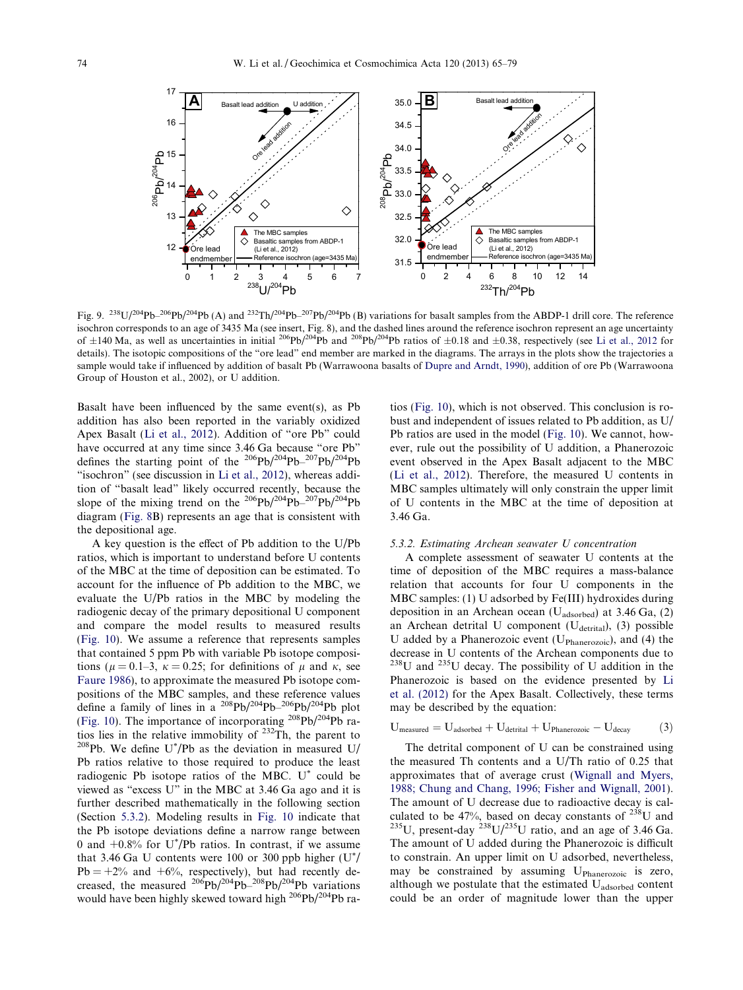<span id="page-9-0"></span>

Fig. 9.  $^{238}U/^{204}Pb-^{206}Pb/^{204}Pb$  (A) and  $^{232}Th/^{204}Pb-^{207}Pb/^{204}Pb$  (B) variations for basalt samples from the ABDP-1 drill core. The reference isochron corresponds to an age of 3435 Ma (see insert, Fig. 8), and the dashed lines around the reference isochron represent an age uncertainty of  $\pm 140$  Ma, as well as uncertainties in initial <sup>206</sup>Pb/<sup>204</sup>Pb and <sup>208</sup>Pb/<sup>204</sup>Pb ratios of  $\pm 0.18$  and  $\pm 0.38$ , respectively (see [Li et al., 2012](#page-13-0) for details). The isotopic compositions of the "ore lead" end member are marked in the diagrams. The arrays in the plots show the trajectories a sample would take if influenced by addition of basalt Pb (Warrawoona basalts of [Dupre and Arndt, 1990\)](#page-12-0), addition of ore Pb (Warrawoona Group of Houston et al., 2002), or U addition.

Basalt have been influenced by the same event(s), as  $Pb$ addition has also been reported in the variably oxidized Apex Basalt ([Li et al., 2012](#page-13-0)). Addition of "ore Pb" could have occurred at any time since 3.46 Ga because "ore Pb" defines the starting point of the  $^{206}Pb/^{204}Pb-^{207}Pb/^{204}Pb$ "isochron" (see discussion in [Li et al., 2012\)](#page-13-0), whereas addition of "basalt lead" likely occurred recently, because the slope of the mixing trend on the  $^{206}Pb/^{204}Pb-^{207}Pb/^{204}Pb$ diagram [\(Fig. 8](#page-8-0)B) represents an age that is consistent with the depositional age.

A key question is the effect of Pb addition to the U/Pb ratios, which is important to understand before U contents of the MBC at the time of deposition can be estimated. To account for the influence of Pb addition to the MBC, we evaluate the U/Pb ratios in the MBC by modeling the radiogenic decay of the primary depositional U component and compare the model results to measured results ([Fig. 10\)](#page-10-0). We assume a reference that represents samples that contained 5 ppm Pb with variable Pb isotope compositions ( $\mu = 0.1-3$ ,  $\kappa = 0.25$ ; for definitions of  $\mu$  and  $\kappa$ , see [Faure 1986\)](#page-12-0), to approximate the measured Pb isotope compositions of the MBC samples, and these reference values define a family of lines in a  $^{208}Pb/^{204}Pb-^{206}Pb/^{204}Pb$  plot ([Fig. 10](#page-10-0)). The importance of incorporating  $208Pb/204Pb$  ratios lies in the relative immobility of  $232\text{Th}$ , the parent to  $^{208}$ Pb. We define U<sup>\*</sup>/Pb as the deviation in measured U/ Pb ratios relative to those required to produce the least radiogenic Pb isotope ratios of the MBC. U\* could be viewed as "excess U" in the MBC at 3.46 Ga ago and it is further described mathematically in the following section (Section 5.3.2). Modeling results in [Fig. 10](#page-10-0) indicate that the Pb isotope deviations define a narrow range between 0 and  $+0.8\%$  for U<sup>\*</sup>/Pb ratios. In contrast, if we assume that 3.46 Ga U contents were 100 or 300 ppb higher  $(U^*)$  $Pb = +2\%$  and  $+6\%$ , respectively), but had recently decreased, the measured  $^{206}Pb/^{204}Pb-^{208}Pb/^{204}Pb$  variations would have been highly skewed toward high <sup>206</sup>Pb/<sup>204</sup>Pb ra-

tios [\(Fig. 10](#page-10-0)), which is not observed. This conclusion is robust and independent of issues related to Pb addition, as U/ Pb ratios are used in the model ([Fig. 10\)](#page-10-0). We cannot, however, rule out the possibility of U addition, a Phanerozoic event observed in the Apex Basalt adjacent to the MBC ([Li et al., 2012\)](#page-13-0). Therefore, the measured U contents in MBC samples ultimately will only constrain the upper limit of U contents in the MBC at the time of deposition at 3.46 Ga.

#### 5.3.2. Estimating Archean seawater U concentration

A complete assessment of seawater U contents at the time of deposition of the MBC requires a mass-balance relation that accounts for four U components in the MBC samples: (1) U adsorbed by Fe(III) hydroxides during deposition in an Archean ocean (Uadsorbed) at 3.46 Ga, (2) an Archean detrital U component ( $U_{\text{dertital}}$ ), (3) possible U added by a Phanerozoic event ( $U_{\text{Phanerozoic}}$ ), and (4) the decrease in U contents of the Archean components due to  $^{238}$ U and  $^{235}$ U decay. The possibility of U addition in the Phanerozoic is based on the evidence presented by [Li](#page-13-0) [et al. \(2012\)](#page-13-0) for the Apex Basalt. Collectively, these terms may be described by the equation:

$$
U_{measured} = U_{adsorbed} + U_{detrital} + U_{Phanerozoic} - U_{decay}
$$
 (3)

The detrital component of U can be constrained using the measured Th contents and a U/Th ratio of 0.25 that approximates that of average crust [\(Wignall and Myers,](#page-14-0) [1988; Chung and Chang, 1996; Fisher and Wignall, 2001\)](#page-14-0). The amount of U decrease due to radioactive decay is calculated to be 47%, based on decay constants of <sup>238</sup>U and <sup>235</sup>U, present-day <sup>238</sup>U/<sup>235</sup>U ratio, and an age of 3.46 Ga. The amount of U added during the Phanerozoic is difficult to constrain. An upper limit on U adsorbed, nevertheless, may be constrained by assuming U<sub>Phanerozoic</sub> is zero, although we postulate that the estimated Uadsorbed content could be an order of magnitude lower than the upper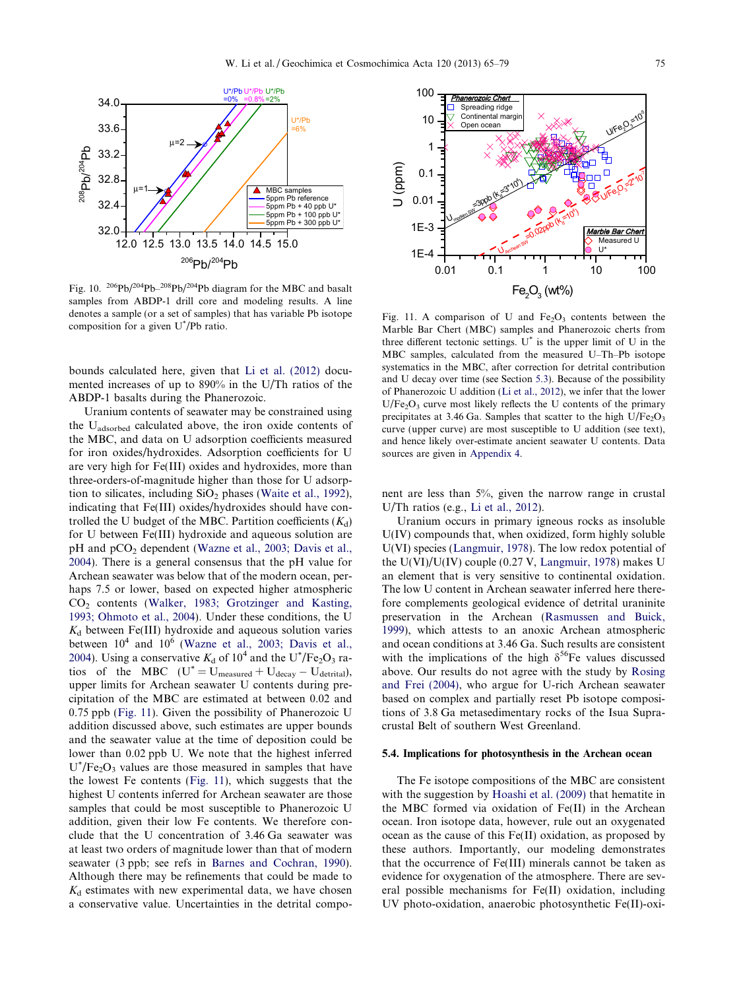<span id="page-10-0"></span>

Fig. 10. <sup>206</sup>Pb/<sup>204</sup>Pb<sup>-208</sup>Pb/<sup>204</sup>Pb diagram for the MBC and basalt samples from ABDP-1 drill core and modeling results. A line denotes a sample (or a set of samples) that has variable Pb isotope composition for a given U\* /Pb ratio.

bounds calculated here, given that [Li et al. \(2012\)](#page-13-0) documented increases of up to 890% in the U/Th ratios of the ABDP-1 basalts during the Phanerozoic.

Uranium contents of seawater may be constrained using the Uadsorbed calculated above, the iron oxide contents of the MBC, and data on U adsorption coefficients measured for iron oxides/hydroxides. Adsorption coefficients for U are very high for Fe(III) oxides and hydroxides, more than three-orders-of-magnitude higher than those for U adsorption to silicates, including  $SiO<sub>2</sub>$  phases [\(Waite et al., 1992](#page-14-0)), indicating that Fe(III) oxides/hydroxides should have controlled the U budget of the MBC. Partition coefficients  $(K_d)$ for U between Fe(III) hydroxide and aqueous solution are pH and pCO<sub>2</sub> dependent [\(Wazne et al., 2003; Davis et al.,](#page-14-0) [2004](#page-14-0)). There is a general consensus that the pH value for Archean seawater was below that of the modern ocean, perhaps 7.5 or lower, based on expected higher atmospheric CO2 contents ([Walker, 1983; Grotzinger and Kasting,](#page-14-0) [1993; Ohmoto et al., 2004](#page-14-0)). Under these conditions, the U  $K_d$  between Fe(III) hydroxide and aqueous solution varies between  $10^4$  and  $10^6$  ([Wazne et al., 2003; Davis et al.,](#page-14-0) [2004](#page-14-0)). Using a conservative  $K_d$  of  $10^4$  and the U<sup>\*</sup>/Fe<sub>2</sub>O<sub>3</sub> ratios of the MBC  $(U^* = U_{\text{measured}} + U_{\text{decay}} - U_{\text{dertital}})$ , upper limits for Archean seawater U contents during precipitation of the MBC are estimated at between 0.02 and 0.75 ppb (Fig. 11). Given the possibility of Phanerozoic U addition discussed above, such estimates are upper bounds and the seawater value at the time of deposition could be lower than 0.02 ppb U. We note that the highest inferred  $U^*$ /Fe<sub>2</sub>O<sub>3</sub> values are those measured in samples that have the lowest Fe contents (Fig. 11), which suggests that the highest U contents inferred for Archean seawater are those samples that could be most susceptible to Phanerozoic U addition, given their low Fe contents. We therefore conclude that the U concentration of 3.46 Ga seawater was at least two orders of magnitude lower than that of modern seawater (3 ppb; see refs in [Barnes and Cochran, 1990](#page-12-0)). Although there may be refinements that could be made to  $K_d$  estimates with new experimental data, we have chosen a conservative value. Uncertainties in the detrital compo-



Fig. 11. A comparison of U and  $Fe<sub>2</sub>O<sub>3</sub>$  contents between the Marble Bar Chert (MBC) samples and Phanerozoic cherts from three different tectonic settings.  $U^*$  is the upper limit of U in the MBC samples, calculated from the measured U–Th–Pb isotope systematics in the MBC, after correction for detrital contribution and U decay over time (see Section [5.3\)](#page-8-0). Because of the possibility of Phanerozoic U addition [\(Li et al., 2012](#page-13-0)), we infer that the lower  $U/Fe<sub>2</sub>O<sub>3</sub>$  curve most likely reflects the U contents of the primary precipitates at 3.46 Ga. Samples that scatter to the high  $U/Fe<sub>2</sub>O<sub>3</sub>$ curve (upper curve) are most susceptible to U addition (see text), and hence likely over-estimate ancient seawater U contents. Data sources are given in [Appendix 4.](#page-12-0)

nent are less than 5%, given the narrow range in crustal U/Th ratios (e.g., [Li et al., 2012](#page-13-0)).

Uranium occurs in primary igneous rocks as insoluble U(IV) compounds that, when oxidized, form highly soluble U(VI) species [\(Langmuir, 1978](#page-13-0)). The low redox potential of the U(VI)/U(IV) couple (0.27 V, [Langmuir, 1978\)](#page-13-0) makes U an element that is very sensitive to continental oxidation. The low U content in Archean seawater inferred here therefore complements geological evidence of detrital uraninite preservation in the Archean [\(Rasmussen and Buick,](#page-13-0) [1999](#page-13-0)), which attests to an anoxic Archean atmospheric and ocean conditions at 3.46 Ga. Such results are consistent with the implications of the high  $\delta^{56}$ Fe values discussed above. Our results do not agree with the study by [Rosing](#page-13-0) [and Frei \(2004\)](#page-13-0), who argue for U-rich Archean seawater based on complex and partially reset Pb isotope compositions of 3.8 Ga metasedimentary rocks of the Isua Supracrustal Belt of southern West Greenland.

#### 5.4. Implications for photosynthesis in the Archean ocean

The Fe isotope compositions of the MBC are consistent with the suggestion by [Hoashi et al. \(2009\)](#page-13-0) that hematite in the MBC formed via oxidation of Fe(II) in the Archean ocean. Iron isotope data, however, rule out an oxygenated ocean as the cause of this Fe(II) oxidation, as proposed by these authors. Importantly, our modeling demonstrates that the occurrence of Fe(III) minerals cannot be taken as evidence for oxygenation of the atmosphere. There are several possible mechanisms for Fe(II) oxidation, including UV photo-oxidation, anaerobic photosynthetic Fe(II)-oxi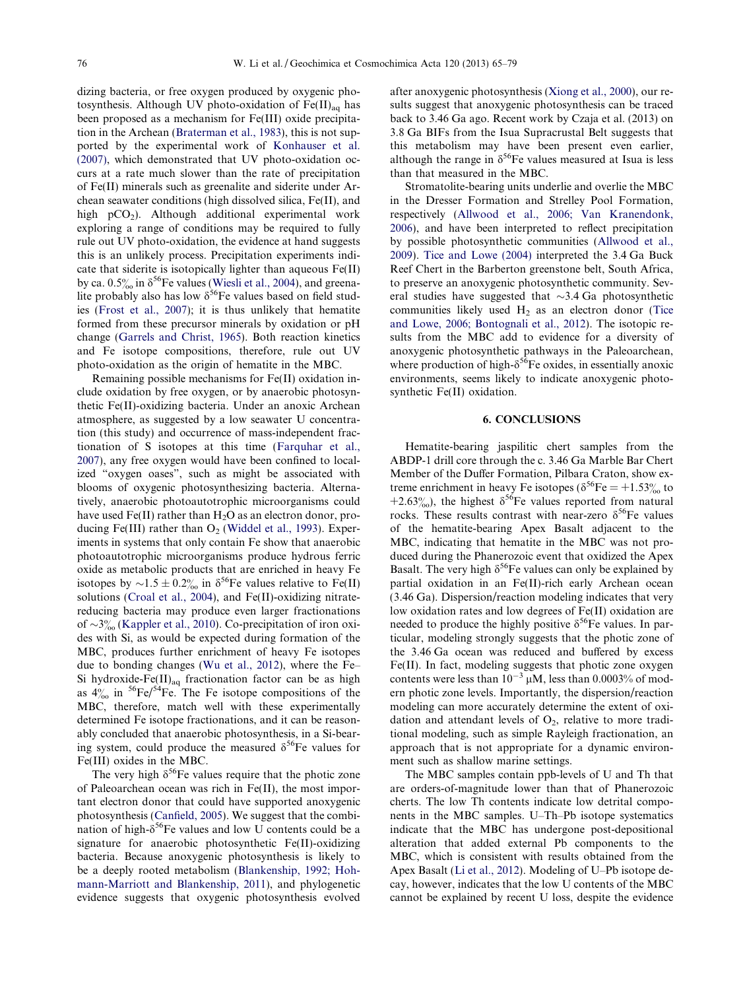dizing bacteria, or free oxygen produced by oxygenic photosynthesis. Although UV photo-oxidation of  $Fe(II)_{aa}$  has been proposed as a mechanism for Fe(III) oxide precipitation in the Archean [\(Braterman et al., 1983\)](#page-12-0), this is not supported by the experimental work of [Konhauser et al.](#page-13-0) [\(2007\),](#page-13-0) which demonstrated that UV photo-oxidation occurs at a rate much slower than the rate of precipitation of Fe(II) minerals such as greenalite and siderite under Archean seawater conditions (high dissolved silica, Fe(II), and high  $pCO<sub>2</sub>$ ). Although additional experimental work exploring a range of conditions may be required to fully rule out UV photo-oxidation, the evidence at hand suggests this is an unlikely process. Precipitation experiments indicate that siderite is isotopically lighter than aqueous Fe(II) by ca.  $0.5\%$  in  $\delta^{56}$ Fe values [\(Wiesli et al., 2004\)](#page-14-0), and greenalite probably also has low  $\delta^{56}$ Fe values based on field studies [\(Frost et al., 2007\)](#page-13-0); it is thus unlikely that hematite formed from these precursor minerals by oxidation or pH change [\(Garrels and Christ, 1965](#page-13-0)). Both reaction kinetics and Fe isotope compositions, therefore, rule out UV photo-oxidation as the origin of hematite in the MBC.

Remaining possible mechanisms for Fe(II) oxidation include oxidation by free oxygen, or by anaerobic photosynthetic Fe(II)-oxidizing bacteria. Under an anoxic Archean atmosphere, as suggested by a low seawater U concentration (this study) and occurrence of mass-independent fractionation of S isotopes at this time [\(Farquhar et al.,](#page-12-0) [2007\)](#page-12-0), any free oxygen would have been confined to localized "oxygen oases", such as might be associated with blooms of oxygenic photosynthesizing bacteria. Alternatively, anaerobic photoautotrophic microorganisms could have used Fe(II) rather than  $H_2O$  as an electron donor, producing Fe(III) rather than  $O<sub>2</sub>$  [\(Widdel et al., 1993\)](#page-14-0). Experiments in systems that only contain Fe show that anaerobic photoautotrophic microorganisms produce hydrous ferric oxide as metabolic products that are enriched in heavy Fe isotopes by  $\sim 1.5 \pm 0.2\%$  in  $\delta^{56}$ Fe values relative to Fe(II) solutions ([Croal et al., 2004\)](#page-12-0), and Fe(II)-oxidizing nitratereducing bacteria may produce even larger fractionations of  $\sim$ 3‰ ([Kappler et al., 2010\)](#page-13-0). Co-precipitation of iron oxides with Si, as would be expected during formation of the MBC, produces further enrichment of heavy Fe isotopes due to bonding changes ([Wu et al., 2012\)](#page-14-0), where the Fe– Si hydroxide-Fe(II)<sub>aq</sub> fractionation factor can be as high as  $4\%$  in <sup>56</sup>Fe/<sup>54</sup>Fe. The Fe isotope compositions of the MBC, therefore, match well with these experimentally determined Fe isotope fractionations, and it can be reasonably concluded that anaerobic photosynthesis, in a Si-bearing system, could produce the measured  $\delta^{56}$ Fe values for Fe(III) oxides in the MBC.

The very high  $\delta^{56}$ Fe values require that the photic zone of Paleoarchean ocean was rich in Fe(II), the most important electron donor that could have supported anoxygenic photosynthesis ([Canfield, 2005](#page-12-0)). We suggest that the combination of high- $\delta^{56}$ Fe values and low U contents could be a signature for anaerobic photosynthetic Fe(II)-oxidizing bacteria. Because anoxygenic photosynthesis is likely to be a deeply rooted metabolism ([Blankenship, 1992; Hoh](#page-12-0)[mann-Marriott and Blankenship, 2011](#page-12-0)), and phylogenetic evidence suggests that oxygenic photosynthesis evolved

after anoxygenic photosynthesis ([Xiong et al., 2000\)](#page-14-0), our results suggest that anoxygenic photosynthesis can be traced back to 3.46 Ga ago. Recent work by Czaja et al. (2013) on 3.8 Ga BIFs from the Isua Supracrustal Belt suggests that this metabolism may have been present even earlier, although the range in  $\delta^{56}$ Fe values measured at Isua is less than that measured in the MBC.

Stromatolite-bearing units underlie and overlie the MBC in the Dresser Formation and Strelley Pool Formation, respectively ([Allwood et al., 2006; Van Kranendonk,](#page-12-0) [2006\)](#page-12-0), and have been interpreted to reflect precipitation by possible photosynthetic communities [\(Allwood et al.,](#page-12-0) [2009\)](#page-12-0). [Tice and Lowe \(2004\)](#page-13-0) interpreted the 3.4 Ga Buck Reef Chert in the Barberton greenstone belt, South Africa, to preserve an anoxygenic photosynthetic community. Several studies have suggested that  $\sim$ 3.4 Ga photosynthetic communities likely used  $H_2$  as an electron donor ([Tice](#page-13-0) [and Lowe, 2006; Bontognali et al., 2012\)](#page-13-0). The isotopic results from the MBC add to evidence for a diversity of anoxygenic photosynthetic pathways in the Paleoarchean, where production of high- $\delta^{56}$ Fe oxides, in essentially anoxic environments, seems likely to indicate anoxygenic photosynthetic Fe(II) oxidation.

## 6. CONCLUSIONS

Hematite-bearing jaspilitic chert samples from the ABDP-1 drill core through the c. 3.46 Ga Marble Bar Chert Member of the Duffer Formation, Pilbara Craton, show extreme enrichment in heavy Fe isotopes ( $\delta^{56}$ Fe = +1.53% to +2.63‰), the highest  $\delta^{56}$ Fe values reported from natural rocks. These results contrast with near-zero  $\delta^{56}$ Fe values of the hematite-bearing Apex Basalt adjacent to the MBC, indicating that hematite in the MBC was not produced during the Phanerozoic event that oxidized the Apex Basalt. The very high  $\delta^{56}$ Fe values can only be explained by partial oxidation in an Fe(II)-rich early Archean ocean (3.46 Ga). Dispersion/reaction modeling indicates that very low oxidation rates and low degrees of Fe(II) oxidation are needed to produce the highly positive  $\delta^{56}$ Fe values. In particular, modeling strongly suggests that the photic zone of the 3.46 Ga ocean was reduced and buffered by excess Fe(II). In fact, modeling suggests that photic zone oxygen contents were less than  $10^{-3}$   $\mu$ M, less than 0.0003% of modern photic zone levels. Importantly, the dispersion/reaction modeling can more accurately determine the extent of oxidation and attendant levels of  $O_2$ , relative to more traditional modeling, such as simple Rayleigh fractionation, an approach that is not appropriate for a dynamic environment such as shallow marine settings.

The MBC samples contain ppb-levels of U and Th that are orders-of-magnitude lower than that of Phanerozoic cherts. The low Th contents indicate low detrital components in the MBC samples. U–Th–Pb isotope systematics indicate that the MBC has undergone post-depositional alteration that added external Pb components to the MBC, which is consistent with results obtained from the Apex Basalt ([Li et al., 2012](#page-13-0)). Modeling of U–Pb isotope decay, however, indicates that the low U contents of the MBC cannot be explained by recent U loss, despite the evidence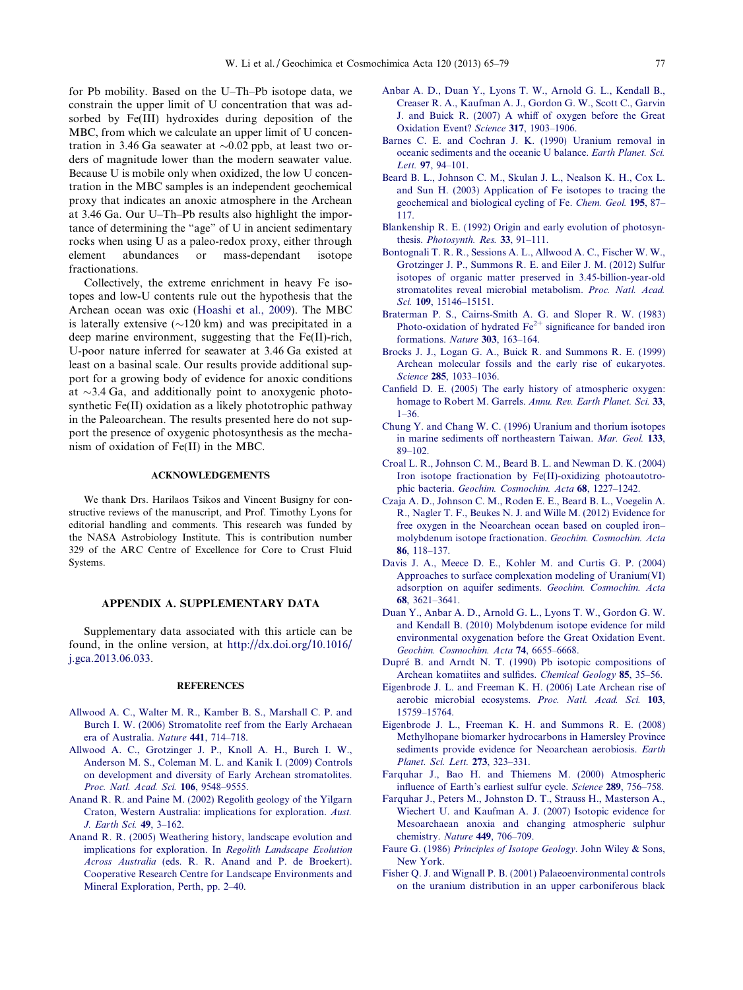<span id="page-12-0"></span>for Pb mobility. Based on the U–Th–Pb isotope data, we constrain the upper limit of U concentration that was adsorbed by Fe(III) hydroxides during deposition of the MBC, from which we calculate an upper limit of U concentration in 3.46 Ga seawater at  $\sim 0.02$  ppb, at least two orders of magnitude lower than the modern seawater value. Because U is mobile only when oxidized, the low U concentration in the MBC samples is an independent geochemical proxy that indicates an anoxic atmosphere in the Archean at 3.46 Ga. Our U–Th–Pb results also highlight the importance of determining the "age" of U in ancient sedimentary rocks when using U as a paleo-redox proxy, either through element abundances or mass-dependant isotope fractionations.

Collectively, the extreme enrichment in heavy Fe isotopes and low-U contents rule out the hypothesis that the Archean ocean was oxic [\(Hoashi et al., 2009](#page-13-0)). The MBC is laterally extensive  $(\sim 120 \text{ km})$  and was precipitated in a deep marine environment, suggesting that the Fe(II)-rich, U-poor nature inferred for seawater at 3.46 Ga existed at least on a basinal scale. Our results provide additional support for a growing body of evidence for anoxic conditions at  $\sim$ 3.4 Ga, and additionally point to anoxygenic photosynthetic Fe(II) oxidation as a likely phototrophic pathway in the Paleoarchean. The results presented here do not support the presence of oxygenic photosynthesis as the mechanism of oxidation of Fe(II) in the MBC.

#### ACKNOWLEDGEMENTS

We thank Drs. Harilaos Tsikos and Vincent Busigny for constructive reviews of the manuscript, and Prof. Timothy Lyons for editorial handling and comments. This research was funded by the NASA Astrobiology Institute. This is contribution number 329 of the ARC Centre of Excellence for Core to Crust Fluid Systems.

### APPENDIX A. SUPPLEMENTARY DATA

Supplementary data associated with this article can be found, in the online version, at [http://dx.doi.org/10.1016/](http://dx.doi.org/10.1016/j.gca.2013.06.033) [j.gca.2013.06.033.](http://dx.doi.org/10.1016/j.gca.2013.06.033)

### **REFERENCES**

- [Allwood A. C., Walter M. R., Kamber B. S., Marshall C. P. and](http://refhub.elsevier.com/S0016-7037(13)00367-0/h0005) [Burch I. W. \(2006\) Stromatolite reef from the Early Archaean](http://refhub.elsevier.com/S0016-7037(13)00367-0/h0005) [era of Australia.](http://refhub.elsevier.com/S0016-7037(13)00367-0/h0005) Nature 441, 714–718.
- [Allwood A. C., Grotzinger J. P., Knoll A. H., Burch I. W.,](http://refhub.elsevier.com/S0016-7037(13)00367-0/h0010) [Anderson M. S., Coleman M. L. and Kanik I. \(2009\) Controls](http://refhub.elsevier.com/S0016-7037(13)00367-0/h0010) [on development and diversity of Early Archean stromatolites.](http://refhub.elsevier.com/S0016-7037(13)00367-0/h0010) [Proc. Natl. Acad. Sci.](http://refhub.elsevier.com/S0016-7037(13)00367-0/h0010) 106, 9548–9555.
- [Anand R. R. and Paine M. \(2002\) Regolith geology of the Yilgarn](http://refhub.elsevier.com/S0016-7037(13)00367-0/h0015) [Craton, Western Australia: implications for exploration.](http://refhub.elsevier.com/S0016-7037(13)00367-0/h0015) Aust. [J. Earth Sci.](http://refhub.elsevier.com/S0016-7037(13)00367-0/h0015) 49, 3–162.
- [Anand R. R. \(2005\) Weathering history, landscape evolution and](http://refhub.elsevier.com/S0016-7037(13)00367-0/h0020) [implications for exploration. In](http://refhub.elsevier.com/S0016-7037(13)00367-0/h0020) Regolith Landscape Evolution Across Australia [\(eds. R. R. Anand and P. de Broekert\).](http://refhub.elsevier.com/S0016-7037(13)00367-0/h0020) [Cooperative Research Centre for Landscape Environments and](http://refhub.elsevier.com/S0016-7037(13)00367-0/h0020) [Mineral Exploration, Perth, pp. 2–40](http://refhub.elsevier.com/S0016-7037(13)00367-0/h0020).
- [Anbar A. D., Duan Y., Lyons T. W., Arnold G. L., Kendall B.,](http://refhub.elsevier.com/S0016-7037(13)00367-0/h0025) [Creaser R. A., Kaufman A. J., Gordon G. W., Scott C., Garvin](http://refhub.elsevier.com/S0016-7037(13)00367-0/h0025) [J. and Buick R. \(2007\) A whiff of oxygen before the Great](http://refhub.elsevier.com/S0016-7037(13)00367-0/h0025) [Oxidation Event?](http://refhub.elsevier.com/S0016-7037(13)00367-0/h0025) Science 317, 1903–1906.
- [Barnes C. E. and Cochran J. K. \(1990\) Uranium removal in](http://refhub.elsevier.com/S0016-7037(13)00367-0/h0030) [oceanic sediments and the oceanic U balance.](http://refhub.elsevier.com/S0016-7037(13)00367-0/h0030) Earth Planet. Sci. Lett. 97[, 94–101.](http://refhub.elsevier.com/S0016-7037(13)00367-0/h0030)
- [Beard B. L., Johnson C. M., Skulan J. L., Nealson K. H., Cox L.](http://refhub.elsevier.com/S0016-7037(13)00367-0/h0035) [and Sun H. \(2003\) Application of Fe isotopes to tracing the](http://refhub.elsevier.com/S0016-7037(13)00367-0/h0035) [geochemical and biological cycling of Fe.](http://refhub.elsevier.com/S0016-7037(13)00367-0/h0035) Chem. Geol. 195, 87– [117.](http://refhub.elsevier.com/S0016-7037(13)00367-0/h0035)
- [Blankenship R. E. \(1992\) Origin and early evolution of photosyn-](http://refhub.elsevier.com/S0016-7037(13)00367-0/h0040)thesis. [Photosynth. Res.](http://refhub.elsevier.com/S0016-7037(13)00367-0/h0040) 33, 91-111.
- [Bontognali T. R. R., Sessions A. L., Allwood A. C., Fischer W. W.,](http://refhub.elsevier.com/S0016-7037(13)00367-0/h0045) [Grotzinger J. P., Summons R. E. and Eiler J. M. \(2012\) Sulfur](http://refhub.elsevier.com/S0016-7037(13)00367-0/h0045) [isotopes of organic matter preserved in 3.45-billion-year-old](http://refhub.elsevier.com/S0016-7037(13)00367-0/h0045) [stromatolites reveal microbial metabolism.](http://refhub.elsevier.com/S0016-7037(13)00367-0/h0045) Proc. Natl. Acad. Sci. 109[, 15146–15151.](http://refhub.elsevier.com/S0016-7037(13)00367-0/h0045)
- [Braterman P. S., Cairns-Smith A. G. and Sloper R. W. \(1983\)](http://refhub.elsevier.com/S0016-7037(13)00367-0/h0050) [Photo-oxidation](http://refhub.elsevier.com/S0016-7037(13)00367-0/h0050) [of](http://refhub.elsevier.com/S0016-7037(13)00367-0/h0050) [hydrated](http://refhub.elsevier.com/S0016-7037(13)00367-0/h0050)  $Fe^{2+}$  $Fe^{2+}$  [significance for banded iron](http://refhub.elsevier.com/S0016-7037(13)00367-0/h0050) [formations.](http://refhub.elsevier.com/S0016-7037(13)00367-0/h0050) Nature 303, 163–164.
- [Brocks J. J., Logan G. A., Buick R. and Summons R. E. \(1999\)](http://refhub.elsevier.com/S0016-7037(13)00367-0/h0055) [Archean molecular fossils and the early rise of eukaryotes.](http://refhub.elsevier.com/S0016-7037(13)00367-0/h0055) Science 285[, 1033–1036.](http://refhub.elsevier.com/S0016-7037(13)00367-0/h0055)
- [Canfield D. E. \(2005\) The early history of atmospheric oxygen:](http://refhub.elsevier.com/S0016-7037(13)00367-0/h0060) [homage to Robert M. Garrels.](http://refhub.elsevier.com/S0016-7037(13)00367-0/h0060) Annu. Rev. Earth Planet. Sci. 33,  $1-36$
- [Chung Y. and Chang W. C. \(1996\) Uranium and thorium isotopes](http://refhub.elsevier.com/S0016-7037(13)00367-0/h0065) [in marine sediments off northeastern Taiwan.](http://refhub.elsevier.com/S0016-7037(13)00367-0/h0065) Mar. Geol. 133, [89–102.](http://refhub.elsevier.com/S0016-7037(13)00367-0/h0065)
- [Croal L. R., Johnson C. M., Beard B. L. and Newman D. K. \(2004\)](http://refhub.elsevier.com/S0016-7037(13)00367-0/h0070) [Iron isotope fractionation by Fe\(II\)-oxidizing photoautotro](http://refhub.elsevier.com/S0016-7037(13)00367-0/h0070)phic bacteria. [Geochim. Cosmochim. Acta](http://refhub.elsevier.com/S0016-7037(13)00367-0/h0070) 68, 1227–1242.
- [Czaja A. D., Johnson C. M., Roden E. E., Beard B. L., Voegelin A.](http://refhub.elsevier.com/S0016-7037(13)00367-0/h0075) [R., Nagler T. F., Beukes N. J. and Wille M. \(2012\) Evidence for](http://refhub.elsevier.com/S0016-7037(13)00367-0/h0075) [free oxygen in the Neoarchean ocean based on coupled iron–](http://refhub.elsevier.com/S0016-7037(13)00367-0/h0075) [molybdenum isotope fractionation.](http://refhub.elsevier.com/S0016-7037(13)00367-0/h0075) Geochim. Cosmochim. Acta 86[, 118–137.](http://refhub.elsevier.com/S0016-7037(13)00367-0/h0075)
- [Davis J. A., Meece D. E., Kohler M. and Curtis G. P. \(2004\)](http://refhub.elsevier.com/S0016-7037(13)00367-0/h0080) [Approaches to surface complexation modeling of Uranium\(VI\)](http://refhub.elsevier.com/S0016-7037(13)00367-0/h0080) [adsorption on aquifer sediments.](http://refhub.elsevier.com/S0016-7037(13)00367-0/h0080) Geochim. Cosmochim. Acta 68[, 3621–3641.](http://refhub.elsevier.com/S0016-7037(13)00367-0/h0080)
- [Duan Y., Anbar A. D., Arnold G. L., Lyons T. W., Gordon G. W.](http://refhub.elsevier.com/S0016-7037(13)00367-0/h0085) [and Kendall B. \(2010\) Molybdenum isotope evidence for mild](http://refhub.elsevier.com/S0016-7037(13)00367-0/h0085) [environmental oxygenation before the Great Oxidation Event.](http://refhub.elsevier.com/S0016-7037(13)00367-0/h0085) [Geochim. Cosmochim. Acta](http://refhub.elsevier.com/S0016-7037(13)00367-0/h0085) 74, 6655–6668.
- Dupré [B. and Arndt N. T. \(1990\) Pb isotopic compositions of](http://refhub.elsevier.com/S0016-7037(13)00367-0/h0097) [Archean komatiites and sulfides.](http://refhub.elsevier.com/S0016-7037(13)00367-0/h0097) Chemical Geology 85, 35–56.
- [Eigenbrode J. L. and Freeman K. H. \(2006\) Late Archean rise of](http://refhub.elsevier.com/S0016-7037(13)00367-0/h0090) [aerobic microbial ecosystems.](http://refhub.elsevier.com/S0016-7037(13)00367-0/h0090) Proc. Natl. Acad. Sci. 103, [15759–15764.](http://refhub.elsevier.com/S0016-7037(13)00367-0/h0090)
- [Eigenbrode J. L., Freeman K. H. and Summons R. E. \(2008\)](http://refhub.elsevier.com/S0016-7037(13)00367-0/h0095) [Methylhopane biomarker hydrocarbons in Hamersley Province](http://refhub.elsevier.com/S0016-7037(13)00367-0/h0095) [sediments provide evidence for Neoarchean aerobiosis.](http://refhub.elsevier.com/S0016-7037(13)00367-0/h0095) Earth [Planet. Sci. Lett.](http://refhub.elsevier.com/S0016-7037(13)00367-0/h0095) 273, 323–331.
- [Farquhar J., Bao H. and Thiemens M. \(2000\) Atmospheric](http://refhub.elsevier.com/S0016-7037(13)00367-0/h0100) [influence of Earth's earliest sulfur cycle.](http://refhub.elsevier.com/S0016-7037(13)00367-0/h0100) Science 289, 756–758.
- [Farquhar J., Peters M., Johnston D. T., Strauss H., Masterson A.,](http://refhub.elsevier.com/S0016-7037(13)00367-0/h0105) [Wiechert U. and Kaufman A. J. \(2007\) Isotopic evidence for](http://refhub.elsevier.com/S0016-7037(13)00367-0/h0105) [Mesoarchaean anoxia and changing atmospheric sulphur](http://refhub.elsevier.com/S0016-7037(13)00367-0/h0105) [chemistry.](http://refhub.elsevier.com/S0016-7037(13)00367-0/h0105) Nature 449, 706-709.
- Faure G. (1986) [Principles of Isotope Geology](http://refhub.elsevier.com/S0016-7037(13)00367-0/h0110). John Wiley & Sons, [New York.](http://refhub.elsevier.com/S0016-7037(13)00367-0/h0110)
- [Fisher Q. J. and Wignall P. B. \(2001\) Palaeoenvironmental controls](http://refhub.elsevier.com/S0016-7037(13)00367-0/h0115) [on the uranium distribution in an upper carboniferous black](http://refhub.elsevier.com/S0016-7037(13)00367-0/h0115)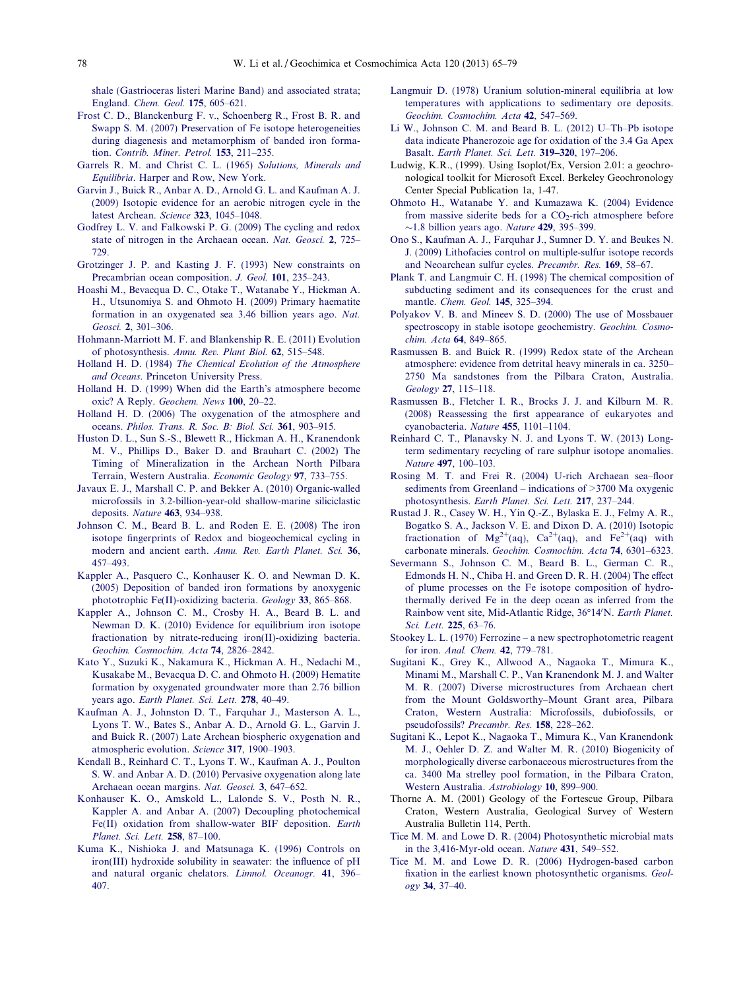<span id="page-13-0"></span>[shale \(Gastrioceras listeri Marine Band\) and associated strata;](http://refhub.elsevier.com/S0016-7037(13)00367-0/h0115) England. [Chem. Geol.](http://refhub.elsevier.com/S0016-7037(13)00367-0/h0115) 175, 605–621.

- [Frost C. D., Blanckenburg F. v., Schoenberg R., Frost B. R. and](http://refhub.elsevier.com/S0016-7037(13)00367-0/h0120) [Swapp S. M. \(2007\) Preservation of Fe isotope heterogeneities](http://refhub.elsevier.com/S0016-7037(13)00367-0/h0120) [during diagenesis and metamorphism of banded iron forma](http://refhub.elsevier.com/S0016-7037(13)00367-0/h0120)tion. [Contrib. Miner. Petrol.](http://refhub.elsevier.com/S0016-7037(13)00367-0/h0120) 153, 211–235.
- [Garrels R. M. and Christ C. L. \(1965\)](http://refhub.elsevier.com/S0016-7037(13)00367-0/h0125) Solutions, Minerals and Equilibria[. Harper and Row, New York](http://refhub.elsevier.com/S0016-7037(13)00367-0/h0125).
- [Garvin J., Buick R., Anbar A. D., Arnold G. L. and Kaufman A. J.](http://refhub.elsevier.com/S0016-7037(13)00367-0/h0130) [\(2009\) Isotopic evidence for an aerobic nitrogen cycle in the](http://refhub.elsevier.com/S0016-7037(13)00367-0/h0130) [latest Archean.](http://refhub.elsevier.com/S0016-7037(13)00367-0/h0130) Science 323, 1045–1048.
- [Godfrey L. V. and Falkowski P. G. \(2009\) The cycling and redox](http://refhub.elsevier.com/S0016-7037(13)00367-0/h0135) [state of nitrogen in the Archaean ocean.](http://refhub.elsevier.com/S0016-7037(13)00367-0/h0135) Nat. Geosci. 2, 725– [729.](http://refhub.elsevier.com/S0016-7037(13)00367-0/h0135)
- [Grotzinger J. P. and Kasting J. F. \(1993\) New constraints on](http://refhub.elsevier.com/S0016-7037(13)00367-0/h0140) [Precambrian ocean composition.](http://refhub.elsevier.com/S0016-7037(13)00367-0/h0140) J. Geol. 101, 235–243.
- [Hoashi M., Bevacqua D. C., Otake T., Watanabe Y., Hickman A.](http://refhub.elsevier.com/S0016-7037(13)00367-0/h0145) [H., Utsunomiya S. and Ohmoto H. \(2009\) Primary haematite](http://refhub.elsevier.com/S0016-7037(13)00367-0/h0145) [formation in an oxygenated sea 3.46 billion years ago.](http://refhub.elsevier.com/S0016-7037(13)00367-0/h0145) Nat. Geosci. 2[, 301–306.](http://refhub.elsevier.com/S0016-7037(13)00367-0/h0145)
- [Hohmann-Marriott M. F. and Blankenship R. E. \(2011\) Evolution](http://refhub.elsevier.com/S0016-7037(13)00367-0/h0150) of photosynthesis. [Annu. Rev. Plant Biol.](http://refhub.elsevier.com/S0016-7037(13)00367-0/h0150) 62, 515–548.
- Holland H. D. (1984) [The Chemical Evolution of the Atmosphere](http://refhub.elsevier.com/S0016-7037(13)00367-0/h0155) and Oceans[. Princeton University Press](http://refhub.elsevier.com/S0016-7037(13)00367-0/h0155).
- [Holland H. D. \(1999\) When did the Earth's atmosphere become](http://refhub.elsevier.com/S0016-7037(13)00367-0/h0160) oxic? A Reply. [Geochem. News](http://refhub.elsevier.com/S0016-7037(13)00367-0/h0160) 100, 20–22.
- [Holland H. D. \(2006\) The oxygenation of the atmosphere and](http://refhub.elsevier.com/S0016-7037(13)00367-0/h0165) oceans. [Philos. Trans. R. Soc. B: Biol. Sci.](http://refhub.elsevier.com/S0016-7037(13)00367-0/h0165) 361, 903–915.
- [Huston D. L., Sun S.-S., Blewett R., Hickman A. H., Kranendonk](http://refhub.elsevier.com/S0016-7037(13)00367-0/h0171) [M. V., Phillips D., Baker D. and Brauhart C. \(2002\) The](http://refhub.elsevier.com/S0016-7037(13)00367-0/h0171) [Timing of Mineralization in the Archean North Pilbara](http://refhub.elsevier.com/S0016-7037(13)00367-0/h0171) [Terrain, Western Australia.](http://refhub.elsevier.com/S0016-7037(13)00367-0/h0171) Economic Geology 97, 733–755.
- [Javaux E. J., Marshall C. P. and Bekker A. \(2010\) Organic-walled](http://refhub.elsevier.com/S0016-7037(13)00367-0/h0170) [microfossils in 3.2-billion-year-old shallow-marine siliciclastic](http://refhub.elsevier.com/S0016-7037(13)00367-0/h0170) deposits. Nature 463[, 934–938.](http://refhub.elsevier.com/S0016-7037(13)00367-0/h0170)
- [Johnson C. M., Beard B. L. and Roden E. E. \(2008\) The iron](http://refhub.elsevier.com/S0016-7037(13)00367-0/h0175) [isotope fingerprints of Redox and biogeochemical cycling in](http://refhub.elsevier.com/S0016-7037(13)00367-0/h0175) modern and ancient earth. [Annu. Rev. Earth Planet. Sci.](http://refhub.elsevier.com/S0016-7037(13)00367-0/h0175) 36, [457–493.](http://refhub.elsevier.com/S0016-7037(13)00367-0/h0175)
- [Kappler A., Pasquero C., Konhauser K. O. and Newman D. K.](http://refhub.elsevier.com/S0016-7037(13)00367-0/h0180) [\(2005\) Deposition of banded iron formations by anoxygenic](http://refhub.elsevier.com/S0016-7037(13)00367-0/h0180) [phototrophic Fe\(II\)-oxidizing bacteria.](http://refhub.elsevier.com/S0016-7037(13)00367-0/h0180) Geology 33, 865–868.
- [Kappler A., Johnson C. M., Crosby H. A., Beard B. L. and](http://refhub.elsevier.com/S0016-7037(13)00367-0/h0185) [Newman D. K. \(2010\) Evidence for equilibrium iron isotope](http://refhub.elsevier.com/S0016-7037(13)00367-0/h0185) [fractionation by nitrate-reducing iron\(II\)-oxidizing bacteria.](http://refhub.elsevier.com/S0016-7037(13)00367-0/h0185) [Geochim. Cosmochim. Acta](http://refhub.elsevier.com/S0016-7037(13)00367-0/h0185) 74, 2826–2842.
- [Kato Y., Suzuki K., Nakamura K., Hickman A. H., Nedachi M.,](http://refhub.elsevier.com/S0016-7037(13)00367-0/h0190) [Kusakabe M., Bevacqua D. C. and Ohmoto H. \(2009\) Hematite](http://refhub.elsevier.com/S0016-7037(13)00367-0/h0190) [formation by oxygenated groundwater more than 2.76 billion](http://refhub.elsevier.com/S0016-7037(13)00367-0/h0190) years ago. [Earth Planet. Sci. Lett.](http://refhub.elsevier.com/S0016-7037(13)00367-0/h0190) 278, 40–49.
- [Kaufman A. J., Johnston D. T., Farquhar J., Masterson A. L.,](http://refhub.elsevier.com/S0016-7037(13)00367-0/h0195) [Lyons T. W., Bates S., Anbar A. D., Arnold G. L., Garvin J.](http://refhub.elsevier.com/S0016-7037(13)00367-0/h0195) [and Buick R. \(2007\) Late Archean biospheric oxygenation and](http://refhub.elsevier.com/S0016-7037(13)00367-0/h0195) [atmospheric evolution.](http://refhub.elsevier.com/S0016-7037(13)00367-0/h0195) Science 317, 1900–1903.
- [Kendall B., Reinhard C. T., Lyons T. W., Kaufman A. J., Poulton](http://refhub.elsevier.com/S0016-7037(13)00367-0/h0200) [S. W. and Anbar A. D. \(2010\) Pervasive oxygenation along late](http://refhub.elsevier.com/S0016-7037(13)00367-0/h0200) [Archaean ocean margins.](http://refhub.elsevier.com/S0016-7037(13)00367-0/h0200) Nat. Geosci. 3, 647–652.
- [Konhauser K. O., Amskold L., Lalonde S. V., Posth N. R.,](http://refhub.elsevier.com/S0016-7037(13)00367-0/h0205) [Kappler A. and Anbar A. \(2007\) Decoupling photochemical](http://refhub.elsevier.com/S0016-7037(13)00367-0/h0205) [Fe\(II\) oxidation from shallow-water BIF deposition.](http://refhub.elsevier.com/S0016-7037(13)00367-0/h0205) Earth [Planet. Sci. Lett.](http://refhub.elsevier.com/S0016-7037(13)00367-0/h0205) 258, 87–100.
- [Kuma K., Nishioka J. and Matsunaga K. \(1996\) Controls on](http://refhub.elsevier.com/S0016-7037(13)00367-0/h0210) [iron\(III\) hydroxide solubility in seawater: the influence of pH](http://refhub.elsevier.com/S0016-7037(13)00367-0/h0210) [and natural organic chelators.](http://refhub.elsevier.com/S0016-7037(13)00367-0/h0210) Limnol. Oceanogr. 41, 396– [407.](http://refhub.elsevier.com/S0016-7037(13)00367-0/h0210)
- [Langmuir D. \(1978\) Uranium solution-mineral equilibria at low](http://refhub.elsevier.com/S0016-7037(13)00367-0/h0215) [temperatures with applications to sedimentary ore deposits.](http://refhub.elsevier.com/S0016-7037(13)00367-0/h0215) [Geochim. Cosmochim. Acta](http://refhub.elsevier.com/S0016-7037(13)00367-0/h0215) 42, 547–569.
- [Li W., Johnson C. M. and Beard B. L. \(2012\) U–Th–Pb isotope](http://refhub.elsevier.com/S0016-7037(13)00367-0/h0220) [data indicate Phanerozoic age for oxidation of the 3.4 Ga Apex](http://refhub.elsevier.com/S0016-7037(13)00367-0/h0220) Basalt. [Earth Planet. Sci. Lett.](http://refhub.elsevier.com/S0016-7037(13)00367-0/h0220) 319–320, 197–206.
- Ludwig, K.R., (1999). Using Isoplot/Ex, Version 2.01: a geochronological toolkit for Microsoft Excel. Berkeley Geochronology Center Special Publication 1a, 1-47.
- [Ohmoto H., Watanabe Y. and Kumazawa K. \(2004\) Evidence](http://refhub.elsevier.com/S0016-7037(13)00367-0/h0225) from massive siderite beds for a  $CO_2$ -rich atmosphere before  $\sim$ [1.8 billion years ago.](http://refhub.elsevier.com/S0016-7037(13)00367-0/h0225) *Nature* **429**, 395–399.
- [Ono S., Kaufman A. J., Farquhar J., Sumner D. Y. and Beukes N.](http://refhub.elsevier.com/S0016-7037(13)00367-0/h0230) [J. \(2009\) Lithofacies control on multiple-sulfur isotope records](http://refhub.elsevier.com/S0016-7037(13)00367-0/h0230) [and Neoarchean sulfur cycles.](http://refhub.elsevier.com/S0016-7037(13)00367-0/h0230) Precambr. Res. 169, 58–67.
- [Plank T. and Langmuir C. H. \(1998\) The chemical composition of](http://refhub.elsevier.com/S0016-7037(13)00367-0/h0235) [subducting sediment and its consequences for the crust and](http://refhub.elsevier.com/S0016-7037(13)00367-0/h0235) mantle. [Chem. Geol.](http://refhub.elsevier.com/S0016-7037(13)00367-0/h0235) 145, 325–394.
- [Polyakov V. B. and Mineev S. D. \(2000\) The use of Mossbauer](http://refhub.elsevier.com/S0016-7037(13)00367-0/h0240) [spectroscopy in stable isotope geochemistry.](http://refhub.elsevier.com/S0016-7037(13)00367-0/h0240) Geochim. Cosmo[chim. Acta](http://refhub.elsevier.com/S0016-7037(13)00367-0/h0240) 64, 849–865.
- [Rasmussen B. and Buick R. \(1999\) Redox state of the Archean](http://refhub.elsevier.com/S0016-7037(13)00367-0/h0245) [atmosphere: evidence from detrital heavy minerals in ca. 3250–](http://refhub.elsevier.com/S0016-7037(13)00367-0/h0245) [2750 Ma sandstones from the Pilbara Craton, Australia.](http://refhub.elsevier.com/S0016-7037(13)00367-0/h0245) Geology 27[, 115–118.](http://refhub.elsevier.com/S0016-7037(13)00367-0/h0245)
- [Rasmussen B., Fletcher I. R., Brocks J. J. and Kilburn M. R.](http://refhub.elsevier.com/S0016-7037(13)00367-0/h02504) [\(2008\) Reassessing the first appearance of eukaryotes and](http://refhub.elsevier.com/S0016-7037(13)00367-0/h02504) [cyanobacteria.](http://refhub.elsevier.com/S0016-7037(13)00367-0/h02504) Nature 455, 1101–1104.
- [Reinhard C. T., Planavsky N. J. and Lyons T. W. \(2013\) Long](http://refhub.elsevier.com/S0016-7037(13)00367-0/h0250)[term sedimentary recycling of rare sulphur isotope anomalies.](http://refhub.elsevier.com/S0016-7037(13)00367-0/h0250) Nature 497[, 100–103.](http://refhub.elsevier.com/S0016-7037(13)00367-0/h0250)
- [Rosing M. T. and Frei R. \(2004\) U-rich Archaean sea–floor](http://refhub.elsevier.com/S0016-7037(13)00367-0/h0255) [sediments from Greenland – indications of >3700 Ma oxygenic](http://refhub.elsevier.com/S0016-7037(13)00367-0/h0255) photosynthesis. [Earth Planet. Sci. Lett.](http://refhub.elsevier.com/S0016-7037(13)00367-0/h0255) 217, 237–244.
- [Rustad J. R., Casey W. H., Yin Q.-Z., Bylaska E. J., Felmy A. R.,](http://refhub.elsevier.com/S0016-7037(13)00367-0/h0260) [Bogatko S. A., Jackson V. E. and Dixon D. A. \(2010\) Isotopic](http://refhub.elsevier.com/S0016-7037(13)00367-0/h0260) [fractionation](http://refhub.elsevier.com/S0016-7037(13)00367-0/h0260) [of](http://refhub.elsevier.com/S0016-7037(13)00367-0/h0260)  $Mg^{2+}(aq)$ ,  $Ca^{2+}(aq)$ , [and](http://refhub.elsevier.com/S0016-7037(13)00367-0/h0260)  $Fe^{2+}(aq)$  with carbonate minerals. [Geochim. Cosmochim. Acta](http://refhub.elsevier.com/S0016-7037(13)00367-0/h0260) 74, 6301–6323.
- [Severmann S., Johnson C. M., Beard B. L., German C. R.,](http://refhub.elsevier.com/S0016-7037(13)00367-0/h0265) [Edmonds H. N., Chiba H. and Green D. R. H. \(2004\) The effect](http://refhub.elsevier.com/S0016-7037(13)00367-0/h0265) [of plume processes on the Fe isotope composition of hydro](http://refhub.elsevier.com/S0016-7037(13)00367-0/h0265)[thermally derived Fe in the deep ocean as inferred from the](http://refhub.elsevier.com/S0016-7037(13)00367-0/h0265) [Rainbow vent site, Mid-Atlantic Ridge, 36](http://refhub.elsevier.com/S0016-7037(13)00367-0/h0265)°14'N. [Earth Planet.](http://refhub.elsevier.com/S0016-7037(13)00367-0/h0265) [Sci. Lett.](http://refhub.elsevier.com/S0016-7037(13)00367-0/h0265) 225, 63–76.
- [Stookey L. L. \(1970\) Ferrozine a new spectrophotometric reagent](http://refhub.elsevier.com/S0016-7037(13)00367-0/h0270) for iron. [Anal. Chem.](http://refhub.elsevier.com/S0016-7037(13)00367-0/h0270) 42, 779–781.
- [Sugitani K., Grey K., Allwood A., Nagaoka T., Mimura K.,](http://refhub.elsevier.com/S0016-7037(13)00367-0/h0275) [Minami M., Marshall C. P., Van Kranendonk M. J. and Walter](http://refhub.elsevier.com/S0016-7037(13)00367-0/h0275) [M. R. \(2007\) Diverse microstructures from Archaean chert](http://refhub.elsevier.com/S0016-7037(13)00367-0/h0275) [from the Mount Goldsworthy–Mount Grant area, Pilbara](http://refhub.elsevier.com/S0016-7037(13)00367-0/h0275) [Craton, Western Australia: Microfossils, dubiofossils, or](http://refhub.elsevier.com/S0016-7037(13)00367-0/h0275) pseudofossils? [Precambr. Res.](http://refhub.elsevier.com/S0016-7037(13)00367-0/h0275) 158, 228–262.
- [Sugitani K., Lepot K., Nagaoka T., Mimura K., Van Kranendonk](http://refhub.elsevier.com/S0016-7037(13)00367-0/h0280) [M. J., Oehler D. Z. and Walter M. R. \(2010\) Biogenicity of](http://refhub.elsevier.com/S0016-7037(13)00367-0/h0280) [morphologically diverse carbonaceous microstructures from the](http://refhub.elsevier.com/S0016-7037(13)00367-0/h0280) [ca. 3400 Ma strelley pool formation, in the Pilbara Craton,](http://refhub.elsevier.com/S0016-7037(13)00367-0/h0280) [Western Australia.](http://refhub.elsevier.com/S0016-7037(13)00367-0/h0280) Astrobiology 10, 899–900.
- Thorne A. M. (2001) Geology of the Fortescue Group, Pilbara Craton, Western Australia, Geological Survey of Western Australia Bulletin 114, Perth.
- [Tice M. M. and Lowe D. R. \(2004\) Photosynthetic microbial mats](http://refhub.elsevier.com/S0016-7037(13)00367-0/h0290) [in the 3,416-Myr-old ocean.](http://refhub.elsevier.com/S0016-7037(13)00367-0/h0290) Nature 431, 549–552.
- [Tice M. M. and Lowe D. R. \(2006\) Hydrogen-based carbon](http://refhub.elsevier.com/S0016-7037(13)00367-0/h0295) [fixation in the earliest known photosynthetic organisms.](http://refhub.elsevier.com/S0016-7037(13)00367-0/h0295) Geology 34[, 37–40.](http://refhub.elsevier.com/S0016-7037(13)00367-0/h0295)